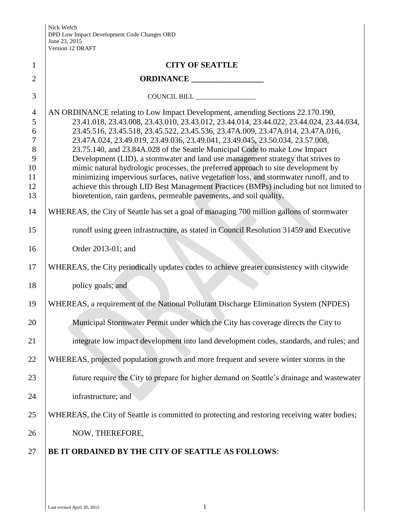| $\mathbf{1}$                                                        | <b>CITY OF SEATTLE</b>                                                                                                                                                                                                                                                                                                                                                                                                                                                                                                                                                                                                                                                                                                                                                                                                                                        |
|---------------------------------------------------------------------|---------------------------------------------------------------------------------------------------------------------------------------------------------------------------------------------------------------------------------------------------------------------------------------------------------------------------------------------------------------------------------------------------------------------------------------------------------------------------------------------------------------------------------------------------------------------------------------------------------------------------------------------------------------------------------------------------------------------------------------------------------------------------------------------------------------------------------------------------------------|
| $\overline{2}$                                                      |                                                                                                                                                                                                                                                                                                                                                                                                                                                                                                                                                                                                                                                                                                                                                                                                                                                               |
| 3                                                                   | COUNCIL BILL                                                                                                                                                                                                                                                                                                                                                                                                                                                                                                                                                                                                                                                                                                                                                                                                                                                  |
| $\overline{4}$<br>5<br>6<br>7<br>$8\,$<br>9<br>10<br>11<br>12<br>13 | AN ORDINANCE relating to Low Impact Development, amending Sections 22.170.190,<br>23.41.018, 23.43.008, 23.43.010, 23.43.012, 23.44.014, 23.44.022, 23.44.024, 23.44.034,<br>23.45.516, 23.45.518, 23.45.522, 23.45.536, 23.47A.009, 23.47A.014, 23.47A.016,<br>23.47A.024, 23.49.019, 23.49.036, 23.49.041, 23.49.045, 23.50.034, 23.57.008,<br>23.75.140, and 23.84A.028 of the Seattle Municipal Code to make Low Impact<br>Development (LID), a stormwater and land use management strategy that strives to<br>mimic natural hydrologic processes, the preferred approach to site development by<br>minimizing impervious surfaces, native vegetation loss, and stormwater runoff, and to<br>achieve this through LID Best Management Practices (BMPs) including but not limited to<br>bioretention, rain gardens, permeable pavements, and soil quality. |
| 14                                                                  | WHEREAS, the City of Seattle has set a goal of managing 700 million gallons of stormwater                                                                                                                                                                                                                                                                                                                                                                                                                                                                                                                                                                                                                                                                                                                                                                     |
| 15                                                                  | runoff using green infrastructure, as stated in Council Resolution 31459 and Executive                                                                                                                                                                                                                                                                                                                                                                                                                                                                                                                                                                                                                                                                                                                                                                        |
| 16                                                                  | Order 2013-01; and                                                                                                                                                                                                                                                                                                                                                                                                                                                                                                                                                                                                                                                                                                                                                                                                                                            |
| 17                                                                  | WHEREAS, the City periodically updates codes to achieve greater consistency with citywide                                                                                                                                                                                                                                                                                                                                                                                                                                                                                                                                                                                                                                                                                                                                                                     |
| 18                                                                  | policy goals; and                                                                                                                                                                                                                                                                                                                                                                                                                                                                                                                                                                                                                                                                                                                                                                                                                                             |
| 19                                                                  | WHEREAS, a requirement of the National Pollutant Discharge Elimination System (NPDES)                                                                                                                                                                                                                                                                                                                                                                                                                                                                                                                                                                                                                                                                                                                                                                         |
| 20                                                                  | Municipal Stormwater Permit under which the City has coverage directs the City to                                                                                                                                                                                                                                                                                                                                                                                                                                                                                                                                                                                                                                                                                                                                                                             |
| 21                                                                  | integrate low impact development into land development codes, standards, and rules; and                                                                                                                                                                                                                                                                                                                                                                                                                                                                                                                                                                                                                                                                                                                                                                       |
| 22                                                                  | WHEREAS, projected population growth and more frequent and severe winter storms in the                                                                                                                                                                                                                                                                                                                                                                                                                                                                                                                                                                                                                                                                                                                                                                        |
| 23                                                                  | future require the City to prepare for higher demand on Seattle's drainage and wastewater                                                                                                                                                                                                                                                                                                                                                                                                                                                                                                                                                                                                                                                                                                                                                                     |
| 24                                                                  | infrastructure; and                                                                                                                                                                                                                                                                                                                                                                                                                                                                                                                                                                                                                                                                                                                                                                                                                                           |
| 25                                                                  | WHEREAS, the City of Seattle is committed to protecting and restoring receiving water bodies;                                                                                                                                                                                                                                                                                                                                                                                                                                                                                                                                                                                                                                                                                                                                                                 |
| 26                                                                  | NOW, THEREFORE,                                                                                                                                                                                                                                                                                                                                                                                                                                                                                                                                                                                                                                                                                                                                                                                                                                               |
| 27                                                                  | BE IT ORDAINED BY THE CITY OF SEATTLE AS FOLLOWS:                                                                                                                                                                                                                                                                                                                                                                                                                                                                                                                                                                                                                                                                                                                                                                                                             |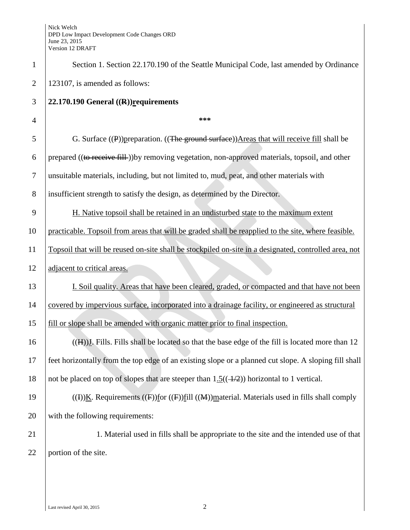| $\mathbf{1}$   | Section 1. Section 22.170.190 of the Seattle Municipal Code, last amended by Ordinance                             |
|----------------|--------------------------------------------------------------------------------------------------------------------|
| $\overline{2}$ | 123107, is amended as follows:                                                                                     |
| 3              | 22.170.190 General $((R))$ requirements                                                                            |
| $\overline{4}$ | ***                                                                                                                |
| 5              | G. Surface $(\mathbf{P})$ ) preparation. $((\mathbf{The\ ground\ surface}))$ Areas that will receive fill shall be |
| 6              | prepared ((to receive fill)) by removing vegetation, non-approved materials, topsoil, and other                    |
| $\tau$         | unsuitable materials, including, but not limited to, mud, peat, and other materials with                           |
| 8              | insufficient strength to satisfy the design, as determined by the Director.                                        |
| 9              | H. Native topsoil shall be retained in an undisturbed state to the maximum extent                                  |
| 10             | practicable. Topsoil from areas that will be graded shall be reapplied to the site, where feasible.                |
| 11             | Topsoil that will be reused on-site shall be stockpiled on-site in a designated, controlled area, not              |
| 12             | adjacent to critical areas.                                                                                        |
| 13             | I. Soil quality. Areas that have been cleared, graded, or compacted and that have not been                         |
| 14             | covered by impervious surface, incorporated into a drainage facility, or engineered as structural                  |
| 15             | fill or slope shall be amended with organic matter prior to final inspection.                                      |
| 16             | $((H))$ . Fills. Fills shall be located so that the base edge of the fill is located more than 12                  |
| 17             | feet horizontally from the top edge of an existing slope or a planned cut slope. A sloping fill shall              |
| 18             | not be placed on top of slopes that are steeper than $1.5((-4/2))$ horizontal to 1 vertical.                       |
| 19             | ((I))K. Requirements ((F))for ((F))fill ((M))material. Materials used in fills shall comply                        |
| 20             | with the following requirements:                                                                                   |
| 21             | 1. Material used in fills shall be appropriate to the site and the intended use of that                            |
| 22             | portion of the site.                                                                                               |
|                |                                                                                                                    |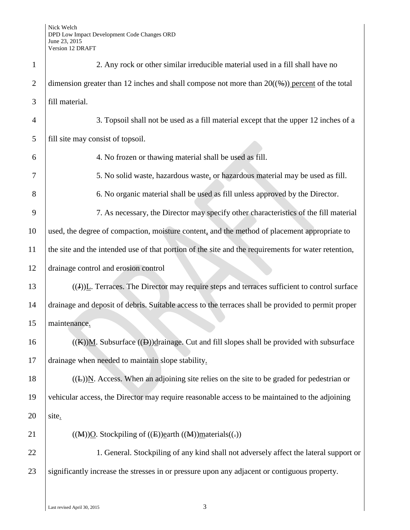| $\mathbf{1}$   | 2. Any rock or other similar irreducible material used in a fill shall have no                          |
|----------------|---------------------------------------------------------------------------------------------------------|
| $\overline{2}$ | dimension greater than 12 inches and shall compose not more than $20(\frac{4}{2})$ percent of the total |
| 3              | fill material.                                                                                          |
| $\overline{4}$ | 3. Topsoil shall not be used as a fill material except that the upper 12 inches of a                    |
| 5              | fill site may consist of topsoil.                                                                       |
| 6              | 4. No frozen or thawing material shall be used as fill.                                                 |
| 7              | 5. No solid waste, hazardous waste, or hazardous material may be used as fill.                          |
| 8              | 6. No organic material shall be used as fill unless approved by the Director.                           |
| 9              | 7. As necessary, the Director may specify other characteristics of the fill material                    |
| 10             | used, the degree of compaction, moisture content, and the method of placement appropriate to            |
| 11             | the site and the intended use of that portion of the site and the requirements for water retention,     |
| 12             | drainage control and erosion control                                                                    |
| 13             | $((J))$ . Terraces. The Director may require steps and terraces sufficient to control surface           |
| 14             | drainage and deposit of debris. Suitable access to the terraces shall be provided to permit proper      |
| 15             | maintenance.                                                                                            |
| 16             | $((K))$ M. Subsurface $((D))$ drainage. Cut and fill slopes shall be provided with subsurface           |
| 17             | drainage when needed to maintain slope stability.                                                       |
| 18             | $((E))$ N. Access. When an adjoining site relies on the site to be graded for pedestrian or             |
| 19             | vehicular access, the Director may require reasonable access to be maintained to the adjoining          |
| 20             | site.                                                                                                   |
| 21             | $((M))Q$ . Stockpiling of $((E))$ earth $((M))$ materials $((.)$                                        |
| 22             | 1. General. Stockpiling of any kind shall not adversely affect the lateral support or                   |
| 23             | significantly increase the stresses in or pressure upon any adjacent or contiguous property.            |
|                |                                                                                                         |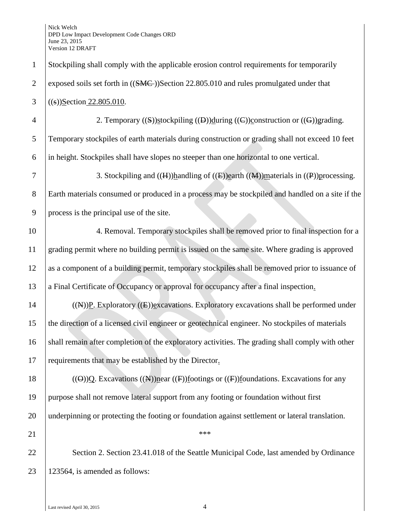| $\mathbf{1}$   | Stockpiling shall comply with the applicable erosion control requirements for temporarily                                        |
|----------------|----------------------------------------------------------------------------------------------------------------------------------|
| $\overline{2}$ | exposed soils set forth in ((SMC-))Section 22.805.010 and rules promulgated under that                                           |
| 3              | $((s))$ Section 22.805.010.                                                                                                      |
| $\overline{4}$ | 2. Temporary $((S))$ stockpiling $((D))$ during $((C))$ construction or $((G))$ grading.                                         |
| 5              | Temporary stockpiles of earth materials during construction or grading shall not exceed 10 feet                                  |
| 6              | in height. Stockpiles shall have slopes no steeper than one horizontal to one vertical.                                          |
| 7              | 3. Stockpiling and $((H))$ handling of $((E))$ earth $((M))$ materials in $((P))$ processing.                                    |
| 8              | Earth materials consumed or produced in a process may be stockpiled and handled on a site if the                                 |
| 9              | process is the principal use of the site.                                                                                        |
| 10             | 4. Removal. Temporary stockpiles shall be removed prior to final inspection for a                                                |
| 11             | grading permit where no building permit is issued on the same site. Where grading is approved                                    |
| 12             | as a component of a building permit, temporary stockpiles shall be removed prior to issuance of                                  |
| 13             | a Final Certificate of Occupancy or approval for occupancy after a final inspection.                                             |
| 14             | $((A))P$ . Exploratory $((E))P$ xcavations. Exploratory excavations shall be performed under                                     |
| 15             | the direction of a licensed civil engineer or geotechnical engineer. No stockpiles of materials                                  |
| 16             | shall remain after completion of the exploratory activities. The grading shall comply with other                                 |
| 17             | requirements that may be established by the Director.                                                                            |
| 18             | $((\Theta))Q$ . Excavations $((\mathbb{A}))$ near $((\mathbb{F}))$ footings or $((\mathbb{F}))$ foundations. Excavations for any |
| 19             | purpose shall not remove lateral support from any footing or foundation without first                                            |
| 20             | underpinning or protecting the footing or foundation against settlement or lateral translation.                                  |
| 21             | ***                                                                                                                              |
| 22             | Section 2. Section 23.41.018 of the Seattle Municipal Code, last amended by Ordinance                                            |
| 23             | 123564, is amended as follows:                                                                                                   |
|                |                                                                                                                                  |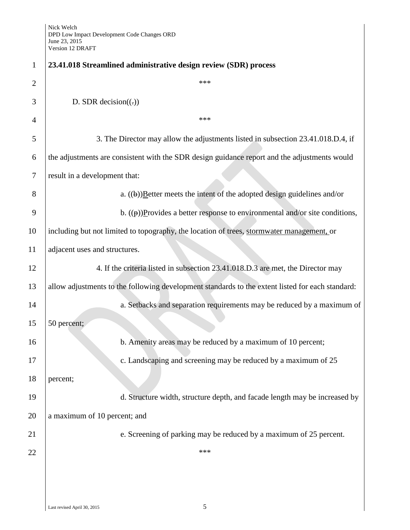| 1              | 23.41.018 Streamlined administrative design review (SDR) process                                 |
|----------------|--------------------------------------------------------------------------------------------------|
| $\overline{2}$ | ***                                                                                              |
| 3              | D. SDR decision( $\left(\frac{1}{2}\right)$ )                                                    |
| $\overline{4}$ | ***                                                                                              |
| 5              | 3. The Director may allow the adjustments listed in subsection 23.41.018.D.4, if                 |
| 6              | the adjustments are consistent with the SDR design guidance report and the adjustments would     |
| 7              | result in a development that:                                                                    |
| 8              | a. $((\theta))$ Eetter meets the intent of the adopted design guidelines and/or                  |
| 9              | b. $((\theta))$ Provides a better response to environmental and/or site conditions,              |
| 10             | including but not limited to topography, the location of trees, stormwater management, or        |
| 11             | adjacent uses and structures.                                                                    |
| 12             | 4. If the criteria listed in subsection 23.41.018.D.3 are met, the Director may                  |
| 13             | allow adjustments to the following development standards to the extent listed for each standard: |
| 14             | a. Setbacks and separation requirements may be reduced by a maximum of                           |
| 15             | 50 percent;                                                                                      |
| 16             | b. Amenity areas may be reduced by a maximum of 10 percent;                                      |
| 17             | c. Landscaping and screening may be reduced by a maximum of 25                                   |
| 18             | percent;                                                                                         |
| 19             | d. Structure width, structure depth, and facade length may be increased by                       |
| 20             | a maximum of 10 percent; and                                                                     |
| 21             | e. Screening of parking may be reduced by a maximum of 25 percent.                               |
| 22             | ***                                                                                              |
|                |                                                                                                  |
|                |                                                                                                  |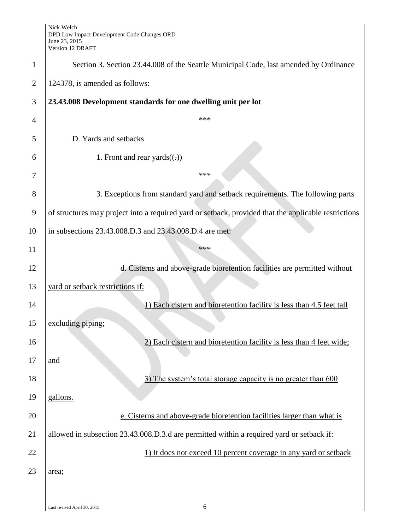| $\mathbf{1}$   | Section 3. Section 23.44.008 of the Seattle Municipal Code, last amended by Ordinance                |
|----------------|------------------------------------------------------------------------------------------------------|
| $\overline{2}$ | 124378, is amended as follows:                                                                       |
| 3              | 23.43.008 Development standards for one dwelling unit per lot                                        |
| 4              | ***                                                                                                  |
| 5              | D. Yards and setbacks                                                                                |
| 6              | 1. Front and rear yards $((.)$                                                                       |
| 7              | ***                                                                                                  |
| 8              | 3. Exceptions from standard yard and setback requirements. The following parts                       |
| 9              | of structures may project into a required yard or setback, provided that the applicable restrictions |
| 10             | in subsections 23.43.008.D.3 and 23.43.008.D.4 are met:                                              |
| 11             | ***                                                                                                  |
| 12             | d. Cisterns and above-grade bioretention facilities are permitted without                            |
| 13             | yard or setback restrictions if:                                                                     |
| 14             | 1) Each cistern and bioretention facility is less than 4.5 feet tall                                 |
| 15             | excluding piping;                                                                                    |
| 16             | 2) Each cistern and bioretention facility is less than 4 feet wide;                                  |
| 17             | and                                                                                                  |
| 18             | 3) The system's total storage capacity is no greater than 600                                        |
| 19             | gallons.                                                                                             |
| 20             | e. Cisterns and above-grade bioretention facilities larger than what is                              |
| 21             | allowed in subsection 23.43.008.D.3.d are permitted within a required yard or setback if:            |
| 22             | 1) It does not exceed 10 percent coverage in any yard or setback                                     |
| 23             | area;                                                                                                |
|                |                                                                                                      |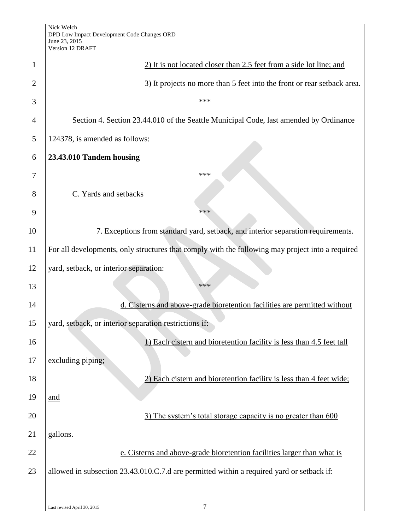|                | Version 12 DRAF I                                                                                |
|----------------|--------------------------------------------------------------------------------------------------|
| 1              | 2) It is not located closer than 2.5 feet from a side lot line; and                              |
| $\overline{2}$ | 3) It projects no more than 5 feet into the front or rear setback area.                          |
| 3              | ***                                                                                              |
| 4              | Section 4. Section 23.44.010 of the Seattle Municipal Code, last amended by Ordinance            |
| 5              | 124378, is amended as follows:                                                                   |
| 6              | 23.43.010 Tandem housing                                                                         |
| 7              | ***                                                                                              |
| 8              | C. Yards and setbacks                                                                            |
| 9              | ***                                                                                              |
| 10             | 7. Exceptions from standard yard, setback, and interior separation requirements.                 |
| 11             | For all developments, only structures that comply with the following may project into a required |
| 12             | yard, setback, or interior separation:                                                           |
| 13             | ***                                                                                              |
| 14             | d. Cisterns and above-grade bioretention facilities are permitted without                        |
| 15             | yard, setback, or interior separation restrictions if:                                           |
| 16             | 1) Each cistern and bioretention facility is less than 4.5 feet tall                             |
| 17             | excluding piping;                                                                                |
| 18             | 2) Each cistern and bioretention facility is less than 4 feet wide;                              |
| 19             | and                                                                                              |
| 20             | 3) The system's total storage capacity is no greater than 600                                    |
| 21             | gallons.                                                                                         |
| 22             | e. Cisterns and above-grade bioretention facilities larger than what is                          |
| 23             | allowed in subsection 23.43.010.C.7.d are permitted within a required yard or setback if:        |
|                |                                                                                                  |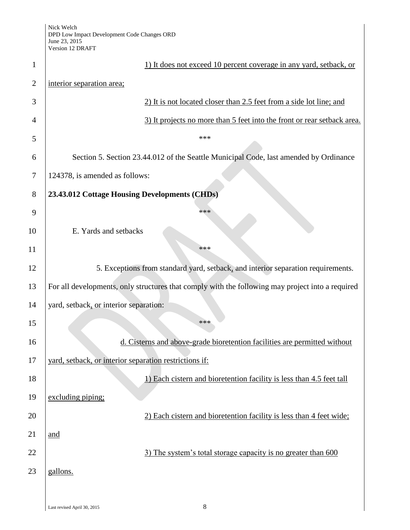| $\mathbf{1}$   | 1) It does not exceed 10 percent coverage in any yard, setback, or                               |
|----------------|--------------------------------------------------------------------------------------------------|
| $\overline{2}$ | interior separation area;                                                                        |
| 3              | 2) It is not located closer than 2.5 feet from a side lot line; and                              |
| 4              | 3) It projects no more than 5 feet into the front or rear setback area.                          |
| 5              | ***                                                                                              |
| 6              | Section 5. Section 23.44.012 of the Seattle Municipal Code, last amended by Ordinance            |
| 7              | 124378, is amended as follows:                                                                   |
| 8              | 23.43.012 Cottage Housing Developments (CHDs)                                                    |
| 9              | ***                                                                                              |
| 10             | E. Yards and setbacks                                                                            |
| 11             | ***                                                                                              |
| 12             | 5. Exceptions from standard yard, setback, and interior separation requirements.                 |
| 13             | For all developments, only structures that comply with the following may project into a required |
| 14             | yard, setback, or interior separation:                                                           |
| 15             | ***                                                                                              |
| 16             | d. Cisterns and above-grade bioretention facilities are permitted without                        |
| 17             | yard, setback, or interior separation restrictions if:                                           |
| 18             | 1) Each cistern and bioretention facility is less than 4.5 feet tall                             |
| 19             | excluding piping;                                                                                |
| 20             | 2) Each cistern and bioretention facility is less than 4 feet wide;                              |
| 21             | and                                                                                              |
| 22             | 3) The system's total storage capacity is no greater than 600                                    |
| 23             | gallons.                                                                                         |
|                |                                                                                                  |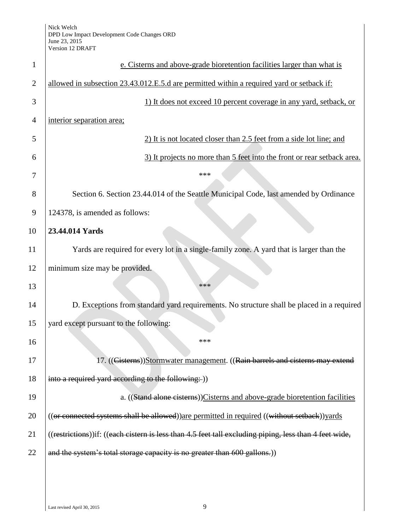| 1              | e. Cisterns and above-grade bioretention facilities larger than what is                                |
|----------------|--------------------------------------------------------------------------------------------------------|
| $\overline{2}$ | allowed in subsection 23.43.012.E.5.d are permitted within a required yard or setback if:              |
| 3              | 1) It does not exceed 10 percent coverage in any yard, setback, or                                     |
| $\overline{4}$ | interior separation area;                                                                              |
| 5              | 2) It is not located closer than 2.5 feet from a side lot line; and                                    |
| 6              | 3) It projects no more than 5 feet into the front or rear setback area.                                |
| 7              | ***                                                                                                    |
| 8              | Section 6. Section 23.44.014 of the Seattle Municipal Code, last amended by Ordinance                  |
| 9              | 124378, is amended as follows:                                                                         |
| 10             | 23.44.014 Yards                                                                                        |
| 11             | Yards are required for every lot in a single-family zone. A yard that is larger than the               |
| 12             | minimum size may be provided.                                                                          |
| 13             | ***                                                                                                    |
| 14             | D. Exceptions from standard yard requirements. No structure shall be placed in a required              |
| 15             | yard except pursuant to the following:                                                                 |
| 16             | ***                                                                                                    |
| 17             | 17. ((Cisterns))Stormwater management. ((Rain barrels and cisterns may extend                          |
| 18             | into a required yard according to the following: ))                                                    |
| 19             | a. ((Stand alone cisterns))Cisterns and above-grade bioretention facilities                            |
| 20             | ((or connected systems shall be allowed)) are permitted in required ((without setback)) yards          |
| 21             | ((restrictions))if: ((each cistern is less than 4.5 feet tall excluding piping, less than 4 feet wide, |
| 22             | and the system's total storage capacity is no greater than 600 gallons.)                               |
|                |                                                                                                        |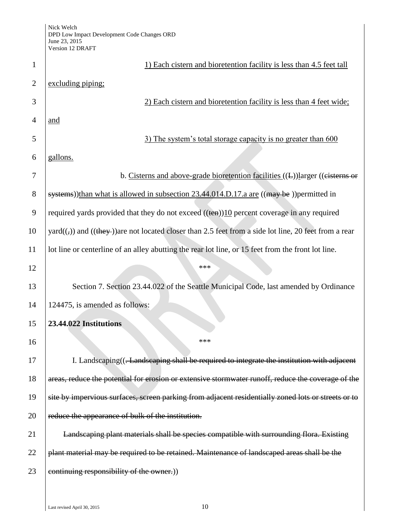Nick Welch DPD Low Impact Development Code Changes ORD June 23, 2015 Version 12 DRAFT

|                | Version 12 DRAF I                                                                                                              |
|----------------|--------------------------------------------------------------------------------------------------------------------------------|
| $\mathbf{1}$   | 1) Each cistern and bioretention facility is less than 4.5 feet tall                                                           |
| $\overline{2}$ | excluding piping;                                                                                                              |
| 3              | 2) Each cistern and bioretention facility is less than 4 feet wide;                                                            |
| $\overline{4}$ | and                                                                                                                            |
| 5              | 3) The system's total storage capacity is no greater than 600                                                                  |
| 6              | gallons.                                                                                                                       |
| 7              | b. Cisterns and above-grade bioretention facilities ((E))larger ((eisterns or                                                  |
| 8              | systems))than what is allowed in subsection 23.44.014.D.17.a are ((may be))permitted in                                        |
| 9              | required yards provided that they do not exceed $((\text{ten}))10$ percent coverage in any required                            |
| 10             | yard( $(\frac{1}{2})$ ) and ( $(\frac{1}{2})$ ) are not located closer than 2.5 feet from a side lot line, 20 feet from a rear |
| 11             | lot line or centerline of an alley abutting the rear lot line, or 15 feet from the front lot line.                             |
| 12             | ***                                                                                                                            |
| 13             | Section 7. Section 23.44.022 of the Seattle Municipal Code, last amended by Ordinance                                          |
| 14             | 124475, is amended as follows:                                                                                                 |
| 15             | 23.44.022 Institutions                                                                                                         |
| 16             | ***                                                                                                                            |
| 17             | I. Landscaping(( <del>. Landscaping shall be required to integrate the institution with adjacent</del>                         |
| 18             | areas, reduce the potential for erosion or extensive stormwater runoff, reduce the coverage of the                             |
| 19             | site by impervious surfaces, screen parking from adjacent residentially zoned lots or streets or to                            |
| 20             | reduce the appearance of bulk of the institution.                                                                              |
| 21             | Landscaping plant materials shall be species compatible with surrounding flora. Existing                                       |
| 22             | plant material may be required to be retained. Maintenance of landscaped areas shall be the                                    |
| 23             | continuing responsibility of the owner.))                                                                                      |
|                |                                                                                                                                |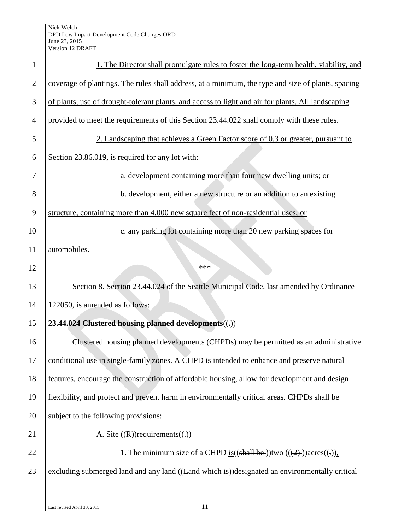| $\mathbf{1}$   | 1. The Director shall promulgate rules to foster the long-term health, viability, and              |
|----------------|----------------------------------------------------------------------------------------------------|
| $\overline{2}$ | coverage of plantings. The rules shall address, at a minimum, the type and size of plants, spacing |
| 3              | of plants, use of drought-tolerant plants, and access to light and air for plants. All landscaping |
| $\overline{4}$ | provided to meet the requirements of this Section 23.44.022 shall comply with these rules.         |
| 5              | 2. Landscaping that achieves a Green Factor score of 0.3 or greater, pursuant to                   |
| 6              | Section 23.86.019, is required for any lot with:                                                   |
| 7              | a. development containing more than four new dwelling units; or                                    |
| 8              | b. development, either a new structure or an addition to an existing                               |
| 9              | structure, containing more than 4,000 new square feet of non-residential uses; or                  |
| 10             | c. any parking lot containing more than 20 new parking spaces for                                  |
| 11             | automobiles.                                                                                       |
| 12             | ***                                                                                                |
| 13             | Section 8. Section 23.44.024 of the Seattle Municipal Code, last amended by Ordinance              |
| 14             | 122050, is amended as follows:                                                                     |
| 15             | 23.44.024 Clustered housing planned developments((,))                                              |
| 16             | Clustered housing planned developments (CHPDs) may be permitted as an administrative               |
| 17             | conditional use in single-family zones. A CHPD is intended to enhance and preserve natural         |
| 18             | features, encourage the construction of affordable housing, allow for development and design       |
| 19             | flexibility, and protect and prevent harm in environmentally critical areas. CHPDs shall be        |
| 20             | subject to the following provisions:                                                               |
| 21             | A. Site $((R))$ requirements $((.)$                                                                |
| 22             | 1. The minimum size of a CHPD is $((\text{shall be}))$ two $((2))$ acres $((.)$ ,                  |
| 23             | excluding submerged land and any land ((Land which is))designated an environmentally critical      |
|                |                                                                                                    |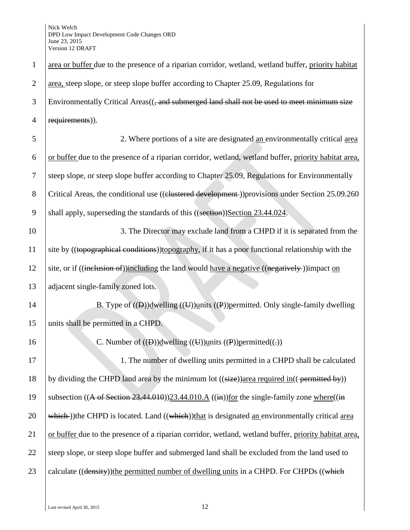| $\mathbf{1}$   | area or buffer due to the presence of a riparian corridor, wetland, wetland buffer, priority habitat               |
|----------------|--------------------------------------------------------------------------------------------------------------------|
| $\overline{2}$ | area, steep slope, or steep slope buffer according to Chapter 25.09, Regulations for                               |
| 3              | Environmentally Critical Areas((, and submerged land shall not be used to meet minimum size                        |
| $\overline{4}$ | requirements)).                                                                                                    |
| 5              | 2. Where portions of a site are designated an environmentally critical area                                        |
| 6              | or buffer due to the presence of a riparian corridor, wetland, wetland buffer, priority habitat area,              |
| 7              | steep slope, or steep slope buffer according to Chapter 25.09, Regulations for Environmentally                     |
| $8\,$          | Critical Areas, the conditional use ((clustered development-))provisions under Section 25.09.260                   |
| 9              | shall apply, superseding the standards of this ((section))Section 23.44.024.                                       |
| 10             | 3. The Director may exclude land from a CHPD if it is separated from the                                           |
| 11             | site by ((topographical conditions)) topography, if it has a poor functional relationship with the                 |
| 12             | site, or if ((inclusion of))including the land would have a negative ((negatively))impact on                       |
| 13             | adjacent single-family zoned lots.                                                                                 |
| 14             | B. Type of $((\theta))$ dwelling $((\theta))$ units $((\theta))$ permitted. Only single-family dwelling            |
| 15             | units shall be permitted in a CHPD.                                                                                |
| 16             | C. Number of $((\theta))$ dwelling $((\theta))$ units $((\theta))$ permitted $((\cdot))$                           |
| 17             | 1. The number of dwelling units permitted in a CHPD shall be calculated                                            |
| 18             | by dividing the CHPD land area by the minimum lot ((size))area required in((permitted by))                         |
| 19             | subsection ((A of Section 23.44.010))23.44.010.A ((in))for the single-family zone where((in                        |
| 20             | $\overline{\text{which}}$ ) the CHPD is located. Land ((which) that is designated an environmentally critical area |
| 21             | or buffer due to the presence of a riparian corridor, wetland, wetland buffer, priority habitat area,              |
| 22             | steep slope, or steep slope buffer and submerged land shall be excluded from the land used to                      |
| 23             | calculate ((density))the permitted number of dwelling units in a CHPD. For CHPDs ((which                           |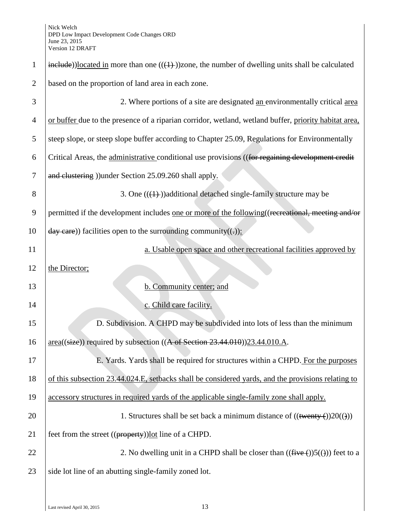| $\mathbf{1}$   | $\frac{\text{include}}{\text{include}}$ ))located in more than one (( $\left(\frac{1}{2}\right)$ )zone, the number of dwelling units shall be calculated |
|----------------|----------------------------------------------------------------------------------------------------------------------------------------------------------|
| $\overline{2}$ | based on the proportion of land area in each zone.                                                                                                       |
| 3              | 2. Where portions of a site are designated an environmentally critical area                                                                              |
| $\overline{4}$ | or buffer due to the presence of a riparian corridor, wetland, wetland buffer, priority habitat area,                                                    |
| 5              | steep slope, or steep slope buffer according to Chapter 25.09, Regulations for Environmentally                                                           |
| 6              | Critical Areas, the administrative conditional use provisions ((for regaining development credit                                                         |
| 7              | and clustering )) under Section 25.09.260 shall apply.                                                                                                   |
| 8              | 3. One $((1))$ additional detached single-family structure may be                                                                                        |
| 9              | permitted if the development includes one or more of the following ((recreational, meeting and/or                                                        |
| 10             | $day$ care)) facilities open to the surrounding community((-)):                                                                                          |
| 11             | a. Usable open space and other recreational facilities approved by                                                                                       |
| 12             | the Director;                                                                                                                                            |
| 13             | b. Community center; and                                                                                                                                 |
| 14             | c. Child care facility.                                                                                                                                  |
| 15             | D. Subdivision. A CHPD may be subdivided into lots of less than the minimum                                                                              |
| 16             | $area((size))$ required by subsection $((A \text{ of Section 23.44.010}))23.44.010.A$ .                                                                  |
| 17             | E. Yards. Yards shall be required for structures within a CHPD. For the purposes                                                                         |
| 18             | of this subsection 23.44.024.E, setbacks shall be considered yards, and the provisions relating to                                                       |
| 19             | accessory structures in required yards of the applicable single-family zone shall apply.                                                                 |
| 20             | 1. Structures shall be set back a minimum distance of $((\text{twenty}(\cdot))20((\cdot)))$                                                              |
| 21             | feet from the street ((property)) lot line of a CHPD.                                                                                                    |
| 22             | 2. No dwelling unit in a CHPD shall be closer than $((\text{five}(\cdot))5(())$ feet to a                                                                |
| 23             | side lot line of an abutting single-family zoned lot.                                                                                                    |
|                |                                                                                                                                                          |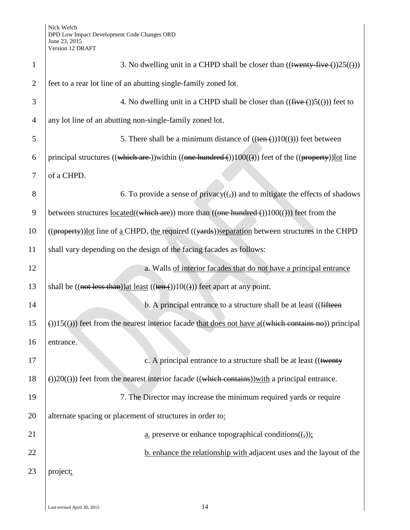| $\mathbf{1}$   | 3. No dwelling unit in a CHPD shall be closer than $((\text{twenty-five}())25(\theta))$                           |
|----------------|-------------------------------------------------------------------------------------------------------------------|
| $\overline{2}$ | feet to a rear lot line of an abutting single-family zoned lot.                                                   |
| 3              | 4. No dwelling unit in a CHPD shall be closer than $((\text{five} (+))5(())$ feet to                              |
| $\overline{4}$ | any lot line of an abutting non-single-family zoned lot.                                                          |
| 5              | 5. There shall be a minimum distance of $((\text{ten}(-))10((\text{}))$ feet between                              |
| 6              | principal structures ((which are )) within ((one hundred $\epsilon$ )) 100(())) feet of the ((property)) lot line |
| 7              | of a CHPD.                                                                                                        |
| 8              | 6. To provide a sense of privacy( $\left(\frac{1}{2}\right)$ ) and to mitigate the effects of shadows             |
| 9              | between structures $located((which are)) more than ((one hundred()))100(())) feet from the$                       |
| 10             | ((property))lot line of a CHPD, the required ((yards))separation between structures in the CHPD                   |
| 11             | shall vary depending on the design of the facing facades as follows:                                              |
| 12             | a. Walls of interior facades that do not have a principal entrance                                                |
| 13             | shall be $((not less than))$ at least $((ten-))10(())$ feet apart at any point.                                   |
| 14             | b. A principal entrance to a structure shall be at least ((fifteen                                                |
| 15             | $\Theta(15(\theta))$ feet from the nearest interior facade that does not have a((which contains no)) principal    |
| 16             | entrance.                                                                                                         |
| 17             | c. A principal entrance to a structure shall be at least ((twenty                                                 |
| 18             | $\Theta$ )20( $\Theta$ )) feet from the nearest interior facade ((which contains)) with a principal entrance.     |
| 19             | 7. The Director may increase the minimum required yards or require                                                |
| 20             | alternate spacing or placement of structures in order to:                                                         |
| 21             | <u>a.</u> preserve or enhance topographical conditions( $\left(\frac{1}{2}\right)$ );                             |
| 22             | b. enhance the relationship with adjacent uses and the layout of the                                              |
| 23             | project;                                                                                                          |
|                |                                                                                                                   |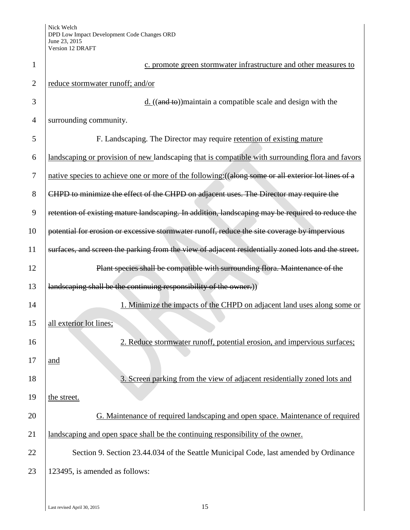| 1              | c. promote green stormwater infrastructure and other measures to                                    |
|----------------|-----------------------------------------------------------------------------------------------------|
| $\overline{2}$ | reduce stormwater runoff; and/or                                                                    |
| 3              | $\underline{d}$ . ((and to)) maintain a compatible scale and design with the                        |
| $\overline{4}$ | surrounding community.                                                                              |
| 5              | F. Landscaping. The Director may require retention of existing mature                               |
| 6              | landscaping or provision of new landscaping that is compatible with surrounding flora and favors    |
| 7              | native species to achieve one or more of the following: ((along some or all exterior lot lines of a |
| 8              | CHPD to minimize the effect of the CHPD on adjacent uses. The Director may require the              |
| 9              | retention of existing mature landscaping. In addition, landscaping may be required to reduce the    |
| 10             | potential for erosion or excessive stormwater runoff, reduce the site coverage by impervious        |
| 11             | surfaces, and screen the parking from the view of adjacent residentially zoned lots and the street. |
| 12             | Plant species shall be compatible with surrounding flora. Maintenance of the                        |
| 13             | landscaping shall be the continuing responsibility of the owner.)                                   |
| 14             | 1. Minimize the impacts of the CHPD on adjacent land uses along some or                             |
| 15             | all exterior lot lines;                                                                             |
| 16             | 2. Reduce stormwater runoff, potential erosion, and impervious surfaces;                            |
| 17             | and                                                                                                 |
| 18             | 3. Screen parking from the view of adjacent residentially zoned lots and                            |
| 19             | the street.                                                                                         |
| 20             | G. Maintenance of required landscaping and open space. Maintenance of required                      |
| 21             | landscaping and open space shall be the continuing responsibility of the owner.                     |
| 22             | Section 9. Section 23.44.034 of the Seattle Municipal Code, last amended by Ordinance               |
| 23             | 123495, is amended as follows:                                                                      |
|                |                                                                                                     |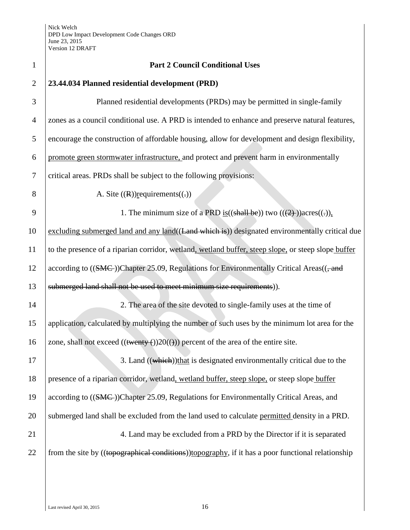| $\mathbf{1}$   | <b>Part 2 Council Conditional Uses</b>                                                               |
|----------------|------------------------------------------------------------------------------------------------------|
| $\overline{2}$ | 23.44.034 Planned residential development (PRD)                                                      |
| 3              | Planned residential developments (PRDs) may be permitted in single-family                            |
| $\overline{4}$ | zones as a council conditional use. A PRD is intended to enhance and preserve natural features,      |
| 5              | encourage the construction of affordable housing, allow for development and design flexibility,      |
| 6              | promote green stormwater infrastructure, and protect and prevent harm in environmentally             |
| $\tau$         | critical areas. PRDs shall be subject to the following provisions:                                   |
| 8              | A. Site $((R))$ requirements $((.)$                                                                  |
| 9              | 1. The minimum size of a PRD is $((\text{shall be}))$ two $((2))$ acres $((.)$ .                     |
| 10             | excluding submerged land and any land((Land which is)) designated environmentally critical due       |
| 11             | to the presence of a riparian corridor, wetland, wetland buffer, steep slope, or steep slope buffer  |
| 12             | according to ((SMC))Chapter 25.09, Regulations for Environmentally Critical Areas((, and             |
| 13             | submerged land shall not be used to meet minimum size requirements)).                                |
| 14             | 2. The area of the site devoted to single-family uses at the time of                                 |
| 15             | application, calculated by multiplying the number of such uses by the minimum lot area for the       |
| 16             | zone, shall not exceed $((\text{twenty}(\cdot))20((\cdot)))$ percent of the area of the entire site. |
| 17             | 3. Land ((which))that is designated environmentally critical due to the                              |
| 18             | presence of a riparian corridor, wetland, wetland buffer, steep slope, or steep slope buffer         |
| 19             | according to ((SMC))Chapter 25.09, Regulations for Environmentally Critical Areas, and               |
| 20             | submerged land shall be excluded from the land used to calculate permitted density in a PRD.         |
| 21             | 4. Land may be excluded from a PRD by the Director if it is separated                                |
| 22             | from the site by ((topographical conditions)) topography, if it has a poor functional relationship   |
|                |                                                                                                      |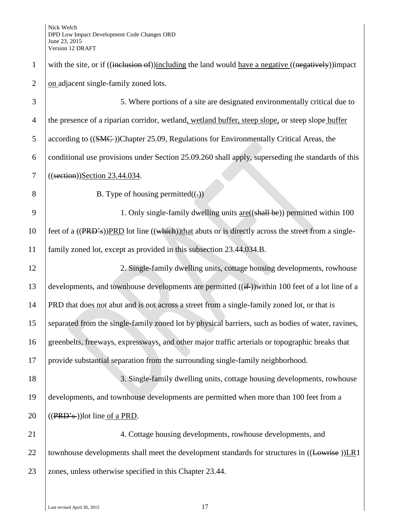1 with the site, or if ((inclusion of))including the land would have a negative ((negatively))impact 2 on adjacent single-family zoned lots. 3 5. Where portions of a site are designated environmentally critical due to 4 the presence of a riparian corridor, wetland, wetland buffer, steep slope, or steep slope buffer 5 according to ((SMC))Chapter 25.09, Regulations for Environmentally Critical Areas, the 6 conditional use provisions under Section 25.09.260 shall apply, superseding the standards of this 7 ((section))Section 23.44.034. 8 B. Type of housing permitted $((.)$ 9 1. Only single-family dwelling units <u>are</u>((shall be)) permitted within 100 10 feet of a  $((PRD<sup>2</sup>s))$ PRD lot line  $((which)$ that abuts or is directly across the street from a single-11 family zoned lot, except as provided in this subsection 23.44.034.B. 12 2. Single-family dwelling units, cottage housing developments, rowhouse 13 developments, and townhouse developments are permitted  $((\text{if}$ )within 100 feet of a lot line of a 14 PRD that does not abut and is not across a street from a single-family zoned lot, or that is 15 separated from the single-family zoned lot by physical barriers, such as bodies of water, ravines, 16 greenbelts, freeways, expressways, and other major traffic arterials or topographic breaks that 17 provide substantial separation from the surrounding single-family neighborhood. 18 3. Single-family dwelling units, cottage housing developments, rowhouse 19 developments, and townhouse developments are permitted when more than 100 feet from a 20  $\left($  ((PRD's))lot line of a PRD. 21 4. Cottage housing developments, rowhouse developments, and 22 townhouse developments shall meet the development standards for structures in  $((Lowrise))LR1$ 23 zones, unless otherwise specified in this Chapter 23.44.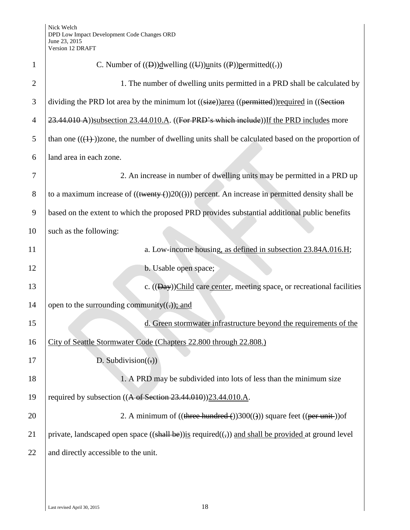| $\mathbf{1}$   | C. Number of $((\theta))$ dwelling $((\theta))$ units $((\theta))$ permitted $((\cdot))$                       |
|----------------|----------------------------------------------------------------------------------------------------------------|
| $\overline{2}$ | 1. The number of dwelling units permitted in a PRD shall be calculated by                                      |
| 3              | dividing the PRD lot area by the minimum lot ((size))area ((permitted))required in ((Section                   |
| $\overline{4}$ | 23.44.010 A))subsection 23.44.010.A. ((For PRD's which include)) If the PRD includes more                      |
| 5              | than one $((1))$ zone, the number of dwelling units shall be calculated based on the proportion of             |
| 6              | land area in each zone.                                                                                        |
| 7              | 2. An increase in number of dwelling units may be permitted in a PRD up                                        |
| 8              | to a maximum increase of $((\text{twenty-}))20(())$ percent. An increase in permitted density shall be         |
| 9              | based on the extent to which the proposed PRD provides substantial additional public benefits                  |
| 10             | such as the following:                                                                                         |
| 11             | a. Low-income housing, as defined in subsection 23.84A.016.H;                                                  |
| 12             | b. Usable open space;                                                                                          |
| 13             | c. $((Day))$ Child care center, meeting space, or recreational facilities                                      |
| 14             | open to the surrounding community( $(\cdot)$ ); and                                                            |
| 15             | d. Green stormwater infrastructure beyond the requirements of the                                              |
| 16             | City of Seattle Stormwater Code (Chapters 22.800 through 22.808.)                                              |
| 17             | D. Subdivision( $(.)$ )                                                                                        |
| 18             | 1. A PRD may be subdivided into lots of less than the minimum size                                             |
| 19             | required by subsection $((A \text{ of Section 23.44.010}))$ 23.44.010.A.                                       |
| 20             | 2. A minimum of $((three hundred-))300(())$ square feet $((per unit-))$ of                                     |
| 21             | private, landscaped open space $((\text{shall be}))$ is required $((,))$ and shall be provided at ground level |
| 22             | and directly accessible to the unit.                                                                           |
|                |                                                                                                                |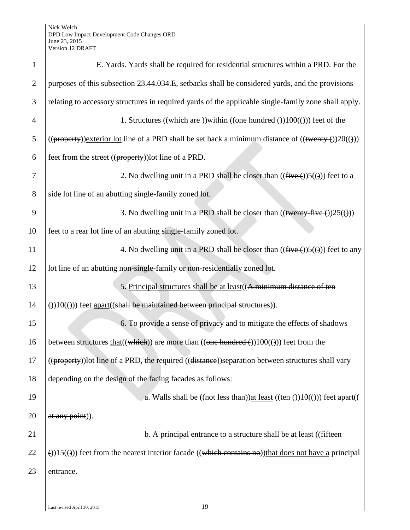| $\mathbf{1}$   | E. Yards. Yards shall be required for residential structures within a PRD. For the                                        |
|----------------|---------------------------------------------------------------------------------------------------------------------------|
| $\overline{2}$ | purposes of this subsection 23.44.034.E, setbacks shall be considered yards, and the provisions                           |
| 3              | relating to accessory structures in required yards of the applicable single-family zone shall apply.                      |
| $\overline{4}$ | 1. Structures ((which are )) within ((one hundred ())100(())) feet of the                                                 |
| 5              | $((\text{property}))$ exterior lot line of a PRD shall be set back a minimum distance of $((\text{twenty-}())20(\theta))$ |
| 6              | feet from the street $((\text{property}))$ <u>lot</u> line of a PRD.                                                      |
| 7              | 2. No dwelling unit in a PRD shall be closer than $((\text{five} (+))5(())$ feet to a                                     |
| 8              | side lot line of an abutting single-family zoned lot.                                                                     |
| 9              | 3. No dwelling unit in a PRD shall be closer than $((\text{twenty-five}())25(\theta))$                                    |
| 10             | feet to a rear lot line of an abutting single-family zoned lot.                                                           |
| 11             | 4. No dwelling unit in a PRD shall be closer than $((\text{five} (+))5(())$ feet to any                                   |
| 12             | lot line of an abutting non-single-family or non-residentially zoned lot.                                                 |
| 13             | 5. Principal structures shall be at least ((A minimum distance of ten                                                     |
| 14             | $(3)(0)(1)(1)(1)$ feet apart((shall be maintained between principal structures)).                                         |
| 15             | 6. To provide a sense of privacy and to mitigate the effects of shadows                                                   |
| 16             | between structures that $((which))$ are more than $((one hundred)(100(()))$ feet from the                                 |
| 17             | ((property))lot line of a PRD, the required ((distance))separation between structures shall vary                          |
| 18             | depending on the design of the facing facades as follows:                                                                 |
| 19             | a. Walls shall be $((not less than))$ at least $((ten ())10(())$ feet apart((                                             |
| 20             | at any point).                                                                                                            |
| 21             | b. A principal entrance to a structure shall be at least ((fifteen)                                                       |
| 22             | (i) 15((i)) feet from the nearest interior facade ((which contains no)) that does not have a principal                    |
| 23             | entrance.                                                                                                                 |
|                |                                                                                                                           |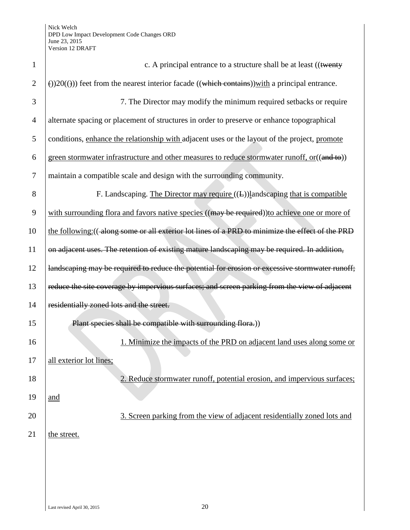| c. A principal entrance to a structure shall be at least ((twenty                                             |
|---------------------------------------------------------------------------------------------------------------|
| $\Theta$ )20( $\Theta$ )) feet from the nearest interior facade ((which contains)) with a principal entrance. |
| 7. The Director may modify the minimum required setbacks or require                                           |
| alternate spacing or placement of structures in order to preserve or enhance topographical                    |
| conditions, enhance the relationship with adjacent uses or the layout of the project, promote                 |
| green stormwater infrastructure and other measures to reduce stormwater runoff, or ((and to))                 |
| maintain a compatible scale and design with the surrounding community.                                        |
| F. Landscaping. The Director may require $((L))$ landscaping that is compatible                               |
| with surrounding flora and favors native species ((may be required)) to achieve one or more of                |
| the following: ((along some or all exterior lot lines of a PRD to minimize the effect of the PRD              |
| on adjacent uses. The retention of existing mature landscaping may be required. In addition,                  |
| landscaping may be required to reduce the potential for erosion or excessive stormwater runoff;               |
| reduce the site coverage by impervious surfaces; and screen parking from the view of adjacent                 |
| residentially zoned lots and the street.                                                                      |
| Plant species shall be compatible with surrounding flora.)                                                    |
| 1. Minimize the impacts of the PRD on adjacent land uses along some or                                        |
| all exterior lot lines;                                                                                       |
| 2. Reduce stormwater runoff, potential erosion, and impervious surfaces;                                      |
| and                                                                                                           |
| 3. Screen parking from the view of adjacent residentially zoned lots and                                      |
| the street.                                                                                                   |
|                                                                                                               |
|                                                                                                               |
|                                                                                                               |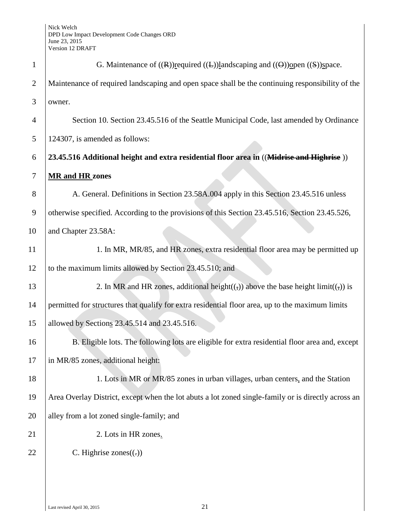| $\mathbf{1}$   | G. Maintenance of $((R))$ required $((L))$ landscaping and $((\Theta))$ open $((S))$ space.         |
|----------------|-----------------------------------------------------------------------------------------------------|
| $\overline{2}$ | Maintenance of required landscaping and open space shall be the continuing responsibility of the    |
| 3              | owner.                                                                                              |
| $\overline{4}$ | Section 10. Section 23.45.516 of the Seattle Municipal Code, last amended by Ordinance              |
| 5              | 124307, is amended as follows:                                                                      |
| 6              | 23.45.516 Additional height and extra residential floor area in ((Midrise and Highrise))            |
| 7              | <b>MR</b> and HR zones                                                                              |
| 8              | A. General. Definitions in Section 23.58A.004 apply in this Section 23.45.516 unless                |
| 9              | otherwise specified. According to the provisions of this Section 23.45.516, Section 23.45.526,      |
| 10             | and Chapter 23.58A:                                                                                 |
| 11             | 1. In MR, MR/85, and HR zones, extra residential floor area may be permitted up                     |
| 12             | to the maximum limits allowed by Section 23.45.510; and                                             |
| 13             | 2. In MR and HR zones, additional height( $(\tau)$ ) above the base height limit( $(\tau)$ ) is     |
| 14             | permitted for structures that qualify for extra residential floor area, up to the maximum limits    |
| 15             | allowed by Sections 23.45.514 and 23.45.516.                                                        |
| 16             | B. Eligible lots. The following lots are eligible for extra residential floor area and, except      |
| 17             | in MR/85 zones, additional height:                                                                  |
| 18             | 1. Lots in MR or MR/85 zones in urban villages, urban centers, and the Station                      |
| 19             | Area Overlay District, except when the lot abuts a lot zoned single-family or is directly across an |
| 20             | alley from a lot zoned single-family; and                                                           |
| 21             | 2. Lots in HR zones.                                                                                |
| 22             | C. Highrise zones $((.)$                                                                            |
|                |                                                                                                     |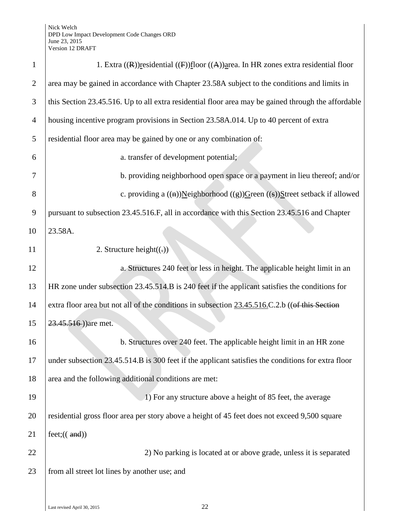| $\mathbf{1}$   | 1. Extra $((R))$ residential $((F))$ floor $((A))$ area. In HR zones extra residential floor        |
|----------------|-----------------------------------------------------------------------------------------------------|
| $\overline{2}$ | area may be gained in accordance with Chapter 23.58A subject to the conditions and limits in        |
| 3              | this Section 23.45.516. Up to all extra residential floor area may be gained through the affordable |
| $\overline{4}$ | housing incentive program provisions in Section 23.58A.014. Up to 40 percent of extra               |
| 5              | residential floor area may be gained by one or any combination of:                                  |
| 6              | a. transfer of development potential;                                                               |
| 7              | b. providing neighborhood open space or a payment in lieu thereof; and/or                           |
| 8              | c. providing a $((a))$ Neighborhood $((g))$ Green $((s))$ Street setback if allowed                 |
| 9              | pursuant to subsection 23.45.516.F, all in accordance with this Section 23.45.516 and Chapter       |
| 10             | 23.58A.                                                                                             |
| 11             | 2. Structure height $((.)$                                                                          |
| 12             | a. Structures 240 feet or less in height. The applicable height limit in an                         |
| 13             | HR zone under subsection 23.45.514.B is 240 feet if the applicant satisfies the conditions for      |
| 14             | extra floor area but not all of the conditions in subsection 23.45.516.C.2.b ((of this Section      |
| 15             | 23.45.516)) are met.                                                                                |
| 16             | b. Structures over 240 feet. The applicable height limit in an HR zone                              |
| 17             | under subsection 23.45.514.B is 300 feet if the applicant satisfies the conditions for extra floor  |
| 18             | area and the following additional conditions are met:                                               |
| 19             | 1) For any structure above a height of 85 feet, the average                                         |
| 20             | residential gross floor area per story above a height of 45 feet does not exceed 9,500 square       |
| 21             | feet: ((and))                                                                                       |
| 22             | 2) No parking is located at or above grade, unless it is separated                                  |
| 23             | from all street lot lines by another use; and                                                       |
|                |                                                                                                     |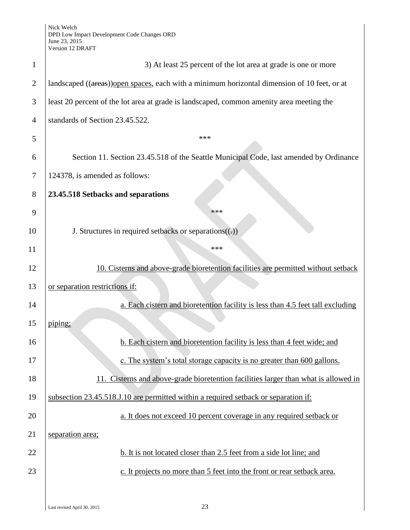| $\mathbf{1}$   | 3) At least 25 percent of the lot area at grade is one or more                               |
|----------------|----------------------------------------------------------------------------------------------|
| $\overline{2}$ | landscaped ((areas)) open spaces, each with a minimum horizontal dimension of 10 feet, or at |
| 3              | least 20 percent of the lot area at grade is landscaped, common amenity area meeting the     |
| $\overline{4}$ | standards of Section 23.45.522.                                                              |
| 5              | ***                                                                                          |
| 6              | Section 11. Section 23.45.518 of the Seattle Municipal Code, last amended by Ordinance       |
| 7              | 124378, is amended as follows:                                                               |
| 8              | 23.45.518 Setbacks and separations                                                           |
| 9              | ***                                                                                          |
| 10             | J. Structures in required setbacks or separations $((.)$                                     |
| 11             | ***                                                                                          |
| 12             | 10. Cisterns and above-grade bioretention facilities are permitted without setback           |
| 13             | or separation restrictions if:                                                               |
| 14             | a. Each cistern and bioretention facility is less than 4.5 feet tall excluding               |
| 15             | piping;                                                                                      |
| 16             | b. Each cistern and bioretention facility is less than 4 feet wide; and                      |
| 17             | c. The system's total storage capacity is no greater than 600 gallons.                       |
| 18             | 11. Cisterns and above-grade bioretention facilities larger than what is allowed in          |
| 19             | subsection 23.45.518.J.10 are permitted within a required setback or separation if:          |
| 20             | a. It does not exceed 10 percent coverage in any required setback or                         |
| 21             | separation area;                                                                             |
| 22             | b. It is not located closer than 2.5 feet from a side lot line; and                          |
| 23             | c. It projects no more than 5 feet into the front or rear setback area.                      |
|                |                                                                                              |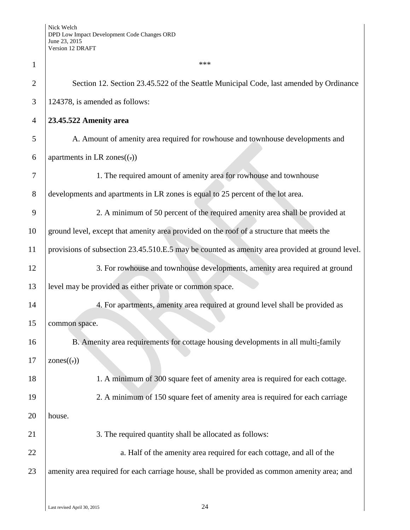| $\mathbf{1}$   | ***                                                                                             |
|----------------|-------------------------------------------------------------------------------------------------|
| $\overline{2}$ | Section 12. Section 23.45.522 of the Seattle Municipal Code, last amended by Ordinance          |
| 3              | 124378, is amended as follows:                                                                  |
| $\overline{4}$ | 23.45.522 Amenity area                                                                          |
| 5              | A. Amount of amenity area required for rowhouse and townhouse developments and                  |
| 6              | apartments in LR zones $((.)$                                                                   |
| 7              | 1. The required amount of amenity area for rowhouse and townhouse                               |
| 8              | developments and apartments in LR zones is equal to 25 percent of the lot area.                 |
| 9              | 2. A minimum of 50 percent of the required amenity area shall be provided at                    |
| 10             | ground level, except that amenity area provided on the roof of a structure that meets the       |
| 11             | provisions of subsection 23.45.510.E.5 may be counted as amenity area provided at ground level. |
| 12             | 3. For rowhouse and townhouse developments, amenity area required at ground                     |
| 13             | level may be provided as either private or common space.                                        |
| 14             | 4. For apartments, amenity area required at ground level shall be provided as                   |
| 15             | common space.                                                                                   |
| 16             | B. Amenity area requirements for cottage housing developments in all multi-family               |
| 17             | $\text{ zones}(\ldots)$                                                                         |
| 18             | 1. A minimum of 300 square feet of amenity area is required for each cottage.                   |
| 19             | 2. A minimum of 150 square feet of amenity area is required for each carriage                   |
| 20             | house.                                                                                          |
| 21             | 3. The required quantity shall be allocated as follows:                                         |
| 22             | a. Half of the amenity area required for each cottage, and all of the                           |
| 23             | amenity area required for each carriage house, shall be provided as common amenity area; and    |
|                |                                                                                                 |

 $\overline{\phantom{a}}$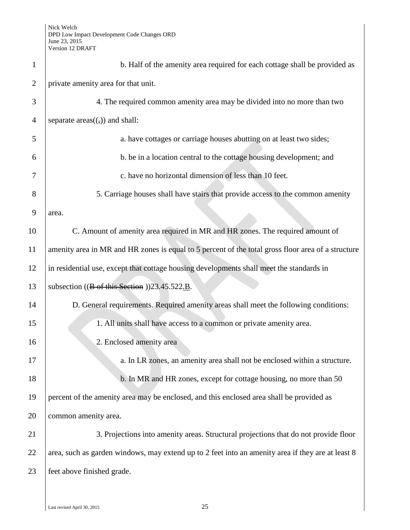| $\mathbf{1}$   | b. Half of the amenity area required for each cottage shall be provided as                         |
|----------------|----------------------------------------------------------------------------------------------------|
| $\overline{2}$ | private amenity area for that unit.                                                                |
| 3              | 4. The required common amenity area may be divided into no more than two                           |
| $\overline{4}$ | separate $area((,))$ and shall:                                                                    |
| 5              | a. have cottages or carriage houses abutting on at least two sides;                                |
| 6              | b. be in a location central to the cottage housing development; and                                |
| 7              | c. have no horizontal dimension of less than 10 feet.                                              |
| 8              | 5. Carriage houses shall have stairs that provide access to the common amenity                     |
| 9              | area.                                                                                              |
| 10             | C. Amount of amenity area required in MR and HR zones. The required amount of                      |
| 11             | amenity area in MR and HR zones is equal to 5 percent of the total gross floor area of a structure |
| 12             | in residential use, except that cottage housing developments shall meet the standards in           |
| 13             | subsection $((B \text{ of this Section}))23.45.522.B.$                                             |
| 14             | D. General requirements. Required amenity areas shall meet the following conditions:               |
| 15             | 1. All units shall have access to a common or private amenity area.                                |
| 16             | 2. Enclosed amenity area                                                                           |
| 17             | a. In LR zones, an amenity area shall not be enclosed within a structure.                          |
| 18             | b. In MR and HR zones, except for cottage housing, no more than 50                                 |
| 19             | percent of the amenity area may be enclosed, and this enclosed area shall be provided as           |
| 20             | common amenity area.                                                                               |
| 21             | 3. Projections into amenity areas. Structural projections that do not provide floor                |
| 22             | area, such as garden windows, may extend up to 2 feet into an amenity area if they are at least 8  |
| 23             | feet above finished grade.                                                                         |
|                |                                                                                                    |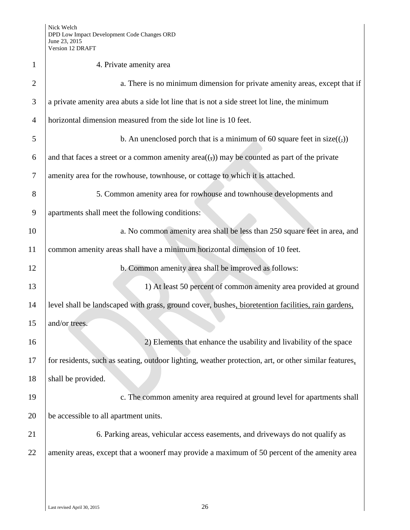| $\mathbf{1}$   | 4. Private amenity area                                                                               |
|----------------|-------------------------------------------------------------------------------------------------------|
| $\overline{2}$ | a. There is no minimum dimension for private amenity areas, except that if                            |
| 3              | a private amenity area abuts a side lot line that is not a side street lot line, the minimum          |
| $\overline{4}$ | horizontal dimension measured from the side lot line is 10 feet.                                      |
| 5              | b. An unenclosed porch that is a minimum of 60 square feet in $size((,))$                             |
| 6              | and that faces a street or a common amenity $area((,))$ may be counted as part of the private         |
| 7              | amenity area for the rowhouse, townhouse, or cottage to which it is attached.                         |
| 8              | 5. Common amenity area for rowhouse and townhouse developments and                                    |
| 9              | apartments shall meet the following conditions:                                                       |
| 10             | a. No common amenity area shall be less than 250 square feet in area, and                             |
| 11             | common amenity areas shall have a minimum horizontal dimension of 10 feet.                            |
| 12             | b. Common amenity area shall be improved as follows:                                                  |
| 13             | 1) At least 50 percent of common amenity area provided at ground                                      |
| 14             | level shall be landscaped with grass, ground cover, bushes, bioretention facilities, rain gardens,    |
| 15             | and/or trees.                                                                                         |
| 16             | 2) Elements that enhance the usability and livability of the space                                    |
| 17             | for residents, such as seating, outdoor lighting, weather protection, art, or other similar features, |
| 18             | shall be provided.                                                                                    |
| 19             | c. The common amenity area required at ground level for apartments shall                              |
| 20             | be accessible to all apartment units.                                                                 |
| 21             | 6. Parking areas, vehicular access easements, and driveways do not qualify as                         |
| 22             | amenity areas, except that a woonerf may provide a maximum of 50 percent of the amenity area          |
|                |                                                                                                       |
|                |                                                                                                       |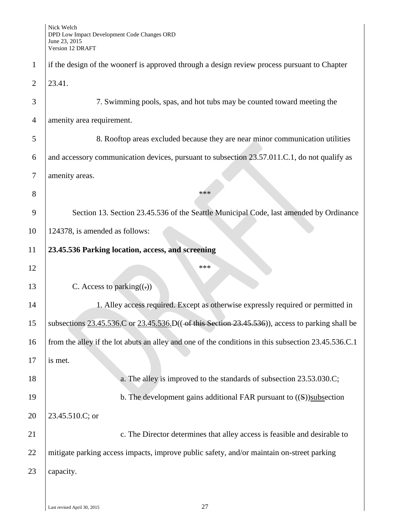|                | VEISIOII 12 DRAF I                                                                                                  |
|----------------|---------------------------------------------------------------------------------------------------------------------|
| $\mathbf{1}$   | if the design of the woonerf is approved through a design review process pursuant to Chapter                        |
| $\overline{2}$ | 23.41.                                                                                                              |
| 3              | 7. Swimming pools, spas, and hot tubs may be counted toward meeting the                                             |
| $\overline{4}$ | amenity area requirement.                                                                                           |
| 5              | 8. Rooftop areas excluded because they are near minor communication utilities                                       |
| 6              | and accessory communication devices, pursuant to subsection 23.57.011.C.1, do not qualify as                        |
| $\tau$         | amenity areas.                                                                                                      |
| 8              | ***                                                                                                                 |
| 9              | Section 13. Section 23.45.536 of the Seattle Municipal Code, last amended by Ordinance                              |
| 10             | 124378, is amended as follows:                                                                                      |
| 11             | 23.45.536 Parking location, access, and screening                                                                   |
| 12             | ***                                                                                                                 |
| 13             | C. Access to parking $((.)$                                                                                         |
| 14             | 1. Alley access required. Except as otherwise expressly required or permitted in                                    |
| 15             | subsections $23.45.536$ . C or $23.45.536$ . D(( $\rightarrow$ this Section 23.45.536)), access to parking shall be |
| 16             | from the alley if the lot abuts an alley and one of the conditions in this subsection 23.45.536.C.1                 |
| 17             | is met.                                                                                                             |
| 18             | a. The alley is improved to the standards of subsection 23.53.030.C;                                                |
| 19             | b. The development gains additional FAR pursuant to $((S))$ subsection                                              |
| 20             | 23.45.510.C; or                                                                                                     |
| 21             | c. The Director determines that alley access is feasible and desirable to                                           |
| 22             | mitigate parking access impacts, improve public safety, and/or maintain on-street parking                           |
| 23             | capacity.                                                                                                           |
|                |                                                                                                                     |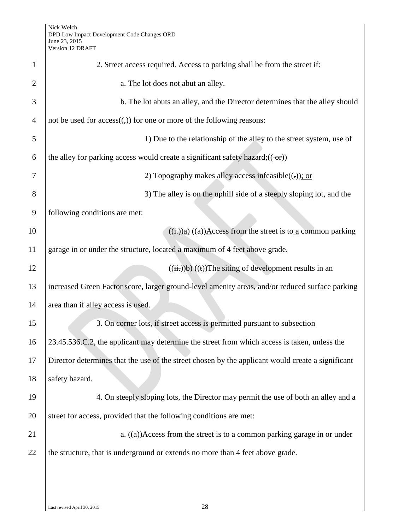| $\mathbf{1}$   | 2. Street access required. Access to parking shall be from the street if:                                                 |
|----------------|---------------------------------------------------------------------------------------------------------------------------|
| $\overline{2}$ | a. The lot does not abut an alley.                                                                                        |
| 3              | b. The lot abuts an alley, and the Director determines that the alley should                                              |
| $\overline{4}$ | not be used for $access((,))$ for one or more of the following reasons:                                                   |
| 5              | 1) Due to the relationship of the alley to the street system, use of                                                      |
| 6              | the alley for parking access would create a significant safety hazard; $((\rightarrow$ fre $))$                           |
| 7              | 2) Topography makes alley access infeasible( $(\cdot)$ ); or                                                              |
| $8\,$          | 3) The alley is on the uphill side of a steeply sloping lot, and the                                                      |
| 9              | following conditions are met:                                                                                             |
| 10             | $((\frac{1}{k}))$ <sub>a</sub> $((a))$ <sup><math>\Delta</math></sup> ccess from the street is to <u>a</u> common parking |
| 11             | garage in or under the structure, located a maximum of 4 feet above grade.                                                |
| 12             | $((\frac{ii}{ii})$ b) $((\frac{1}{ii})$ The siting of development results in an                                           |
| 13             | increased Green Factor score, larger ground-level amenity areas, and/or reduced surface parking                           |
| 14             | area than if alley access is used.                                                                                        |
| 15             | 3. On corner lots, if street access is permitted pursuant to subsection                                                   |
| 16             | 23.45.536.C.2, the applicant may determine the street from which access is taken, unless the                              |
| 17             | Director determines that the use of the street chosen by the applicant would create a significant                         |
| 18             | safety hazard.                                                                                                            |
| 19             | 4. On steeply sloping lots, the Director may permit the use of both an alley and a                                        |
| 20             | street for access, provided that the following conditions are met:                                                        |
| 21             | a. $((a))$ Access from the street is to a common parking garage in or under                                               |
| 22             | the structure, that is underground or extends no more than 4 feet above grade.                                            |
|                |                                                                                                                           |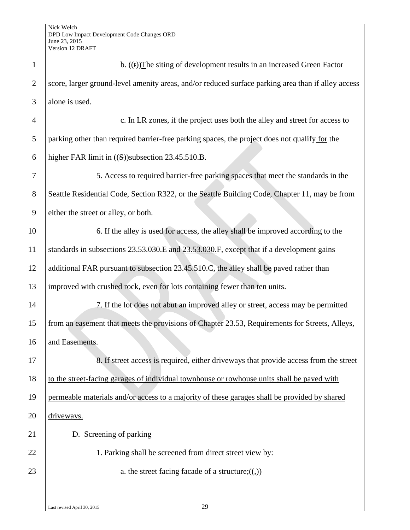| $\mathbf{1}$   | b. $((t))$ The siting of development results in an increased Green Factor                          |
|----------------|----------------------------------------------------------------------------------------------------|
| $\overline{2}$ | score, larger ground-level amenity areas, and/or reduced surface parking area than if alley access |
| 3              | alone is used.                                                                                     |
| $\overline{4}$ | c. In LR zones, if the project uses both the alley and street for access to                        |
| 5              | parking other than required barrier-free parking spaces, the project does not qualify for the      |
| 6              | higher FAR limit in ((S))subsection 23.45.510.B.                                                   |
| 7              | 5. Access to required barrier-free parking spaces that meet the standards in the                   |
| 8              | Seattle Residential Code, Section R322, or the Seattle Building Code, Chapter 11, may be from      |
| 9              | either the street or alley, or both.                                                               |
| 10             | 6. If the alley is used for access, the alley shall be improved according to the                   |
| 11             | standards in subsections 23.53.030.E and 23.53.030.F, except that if a development gains           |
| 12             | additional FAR pursuant to subsection 23.45.510.C, the alley shall be paved rather than            |
| 13             | improved with crushed rock, even for lots containing fewer than ten units.                         |
| 14             | 7. If the lot does not abut an improved alley or street, access may be permitted                   |
| 15             | from an easement that meets the provisions of Chapter 23.53, Requirements for Streets, Alleys,     |
| 16             | and Easements.                                                                                     |
| 17             | 8. If street access is required, either driveways that provide access from the street              |
| 18             | to the street-facing garages of individual townhouse or rowhouse units shall be paved with         |
| 19             | permeable materials and/or access to a majority of these garages shall be provided by shared       |
| 20             | driveways.                                                                                         |
| 21             | D. Screening of parking                                                                            |
| 22             | 1. Parking shall be screened from direct street view by:                                           |
| 23             | <u>a</u> . the street facing facade of a structure; $((,))$                                        |
|                |                                                                                                    |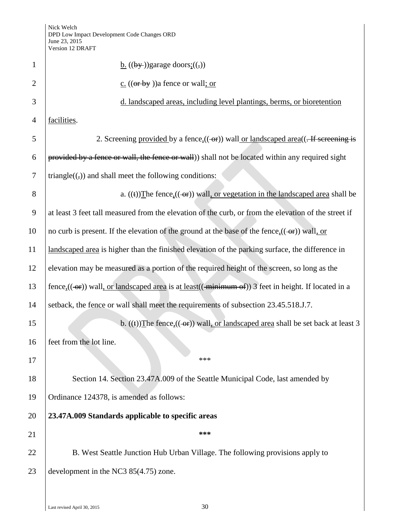|                | V EISIUII 1∠ DRAF I                                                                                  |
|----------------|------------------------------------------------------------------------------------------------------|
| $\mathbf{1}$   | $\underline{b}$ . ((by-))garage doors: ((,))                                                         |
| $\overline{2}$ | c. $((or by))$ a fence or wall; or                                                                   |
| 3              | d. landscaped areas, including level plantings, berms, or bioretention                               |
| $\overline{4}$ | facilities.                                                                                          |
| 5              |                                                                                                      |
| 6              | provided by a fence or wall, the fence or wall)) shall not be located within any required sight      |
| $\overline{7}$ | triangle $((,))$ and shall meet the following conditions:                                            |
| 8              | a. $((t))$ The fence, $((\rightarrow r))$ wall, or vegetation in the landscaped area shall be        |
| 9              | at least 3 feet tall measured from the elevation of the curb, or from the elevation of the street if |
| 10             | no curb is present. If the elevation of the ground at the base of the fence, $((-eF))$ wall, or      |
| 11             | landscaped area is higher than the finished elevation of the parking surface, the difference in      |
| 12             | elevation may be measured as a portion of the required height of the screen, so long as the          |
| 13             |                                                                                                      |
| 14             | setback, the fence or wall shall meet the requirements of subsection 23.45.518.J.7.                  |
| 15             | b. $((t))$ The fence, $((\rightarrow r))$ wall, or landscaped area shall be set back at least 3      |
| 16             | feet from the lot line.                                                                              |
| 17             | ***                                                                                                  |
| 18             | Section 14. Section 23.47A.009 of the Seattle Municipal Code, last amended by                        |
| 19             | Ordinance 124378, is amended as follows:                                                             |
| 20             | 23.47A.009 Standards applicable to specific areas                                                    |
| 21             | ***                                                                                                  |
| 22             | B. West Seattle Junction Hub Urban Village. The following provisions apply to                        |
| 23             | development in the NC3 $85(4.75)$ zone.                                                              |
|                |                                                                                                      |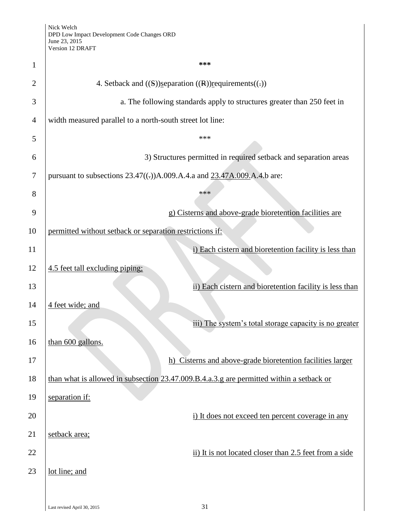| 1              | ***                                                                                      |
|----------------|------------------------------------------------------------------------------------------|
| $\overline{2}$ | 4. Setback and $((S))$ separation $((R))$ requirements $((.)$                            |
| 3              | a. The following standards apply to structures greater than 250 feet in                  |
| $\overline{4}$ | width measured parallel to a north-south street lot line:                                |
| 5              | ***                                                                                      |
| 6              | 3) Structures permitted in required setback and separation areas                         |
| 7              | pursuant to subsections $23.47((.)$ )A.009.A.4.a and $23.47A.009$ .A.4.b are:            |
| 8              | ***                                                                                      |
| 9              | g) Cisterns and above-grade bioretention facilities are                                  |
| 10             | permitted without setback or separation restrictions if:                                 |
| 11             | i) Each cistern and bioretention facility is less than                                   |
| 12             | 4.5 feet tall excluding piping:                                                          |
| 13             | ii) Each cistern and bioretention facility is less than                                  |
| 14             | 4 feet wide; and                                                                         |
| 15             | iii) The system's total storage capacity is no greater                                   |
| 16             | than 600 gallons.                                                                        |
| 17             | h) Cisterns and above-grade bioretention facilities larger                               |
| 18             | than what is allowed in subsection 23.47.009.B.4.a.3.g are permitted within a setback or |
| 19             | separation if:                                                                           |
| 20             | i) It does not exceed ten percent coverage in any                                        |
| 21             | setback area;                                                                            |
| 22             | ii) It is not located closer than 2.5 feet from a side                                   |
| 23             | lot line; and                                                                            |
|                |                                                                                          |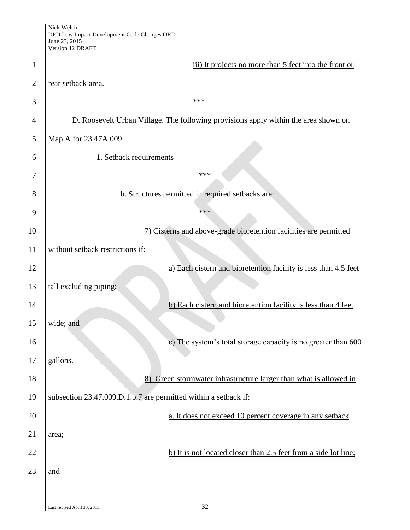|                | Nick Welch<br>DPD Low Impact Development Code Changes ORD<br>June 23, 2015<br>Version 12 DRAFT |
|----------------|------------------------------------------------------------------------------------------------|
| $\mathbf{1}$   | iii) It projects no more than 5 feet into the front or                                         |
| $\overline{2}$ | rear setback area.                                                                             |
| 3              | ***                                                                                            |
| $\overline{4}$ | D. Roosevelt Urban Village. The following provisions apply within the area shown on            |
| 5              | Map A for 23.47A.009.                                                                          |
| 6              | 1. Setback requirements                                                                        |
| 7              | ***                                                                                            |
| 8              | b. Structures permitted in required setbacks are:                                              |
| 9              | ***                                                                                            |
| 10             | 7) Cisterns and above-grade bioretention facilities are permitted                              |
| 11             | without setback restrictions if:                                                               |
| 12             | a) Each cistern and bioretention facility is less than 4.5 feet                                |
| 13             | tall excluding piping;                                                                         |
| 14             | b) Each cistern and bioretention facility is less than 4 feet                                  |
| 15             | wide; and                                                                                      |
| 16             | c) The system's total storage capacity is no greater than 600                                  |
| 17             | gallons.                                                                                       |
| 18             | 8) Green stormwater infrastructure larger than what is allowed in                              |
| 19             | subsection 23.47.009.D.1.b.7 are permitted within a setback if:                                |
| 20             | a. It does not exceed 10 percent coverage in any setback                                       |
| 21             | area;                                                                                          |
| 22             | b) It is not located closer than 2.5 feet from a side lot line;                                |
| 23             | and                                                                                            |
|                |                                                                                                |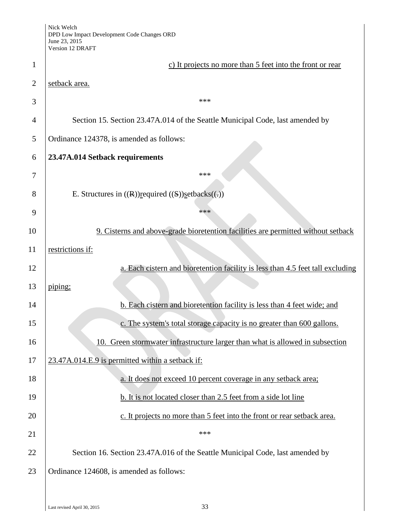| Nick Welch                                  |
|---------------------------------------------|
| DPD Low Impact Development Code Changes ORD |
| June 23, 2015                               |
| Version 12 DRAFT                            |

|                | June 23, 2015<br>Version 12 DRAFT                                                 |
|----------------|-----------------------------------------------------------------------------------|
| $\mathbf{1}$   | c) It projects no more than 5 feet into the front or rear                         |
| $\overline{2}$ | setback area.                                                                     |
| 3              | ***                                                                               |
| 4              | Section 15. Section 23.47A.014 of the Seattle Municipal Code, last amended by     |
| 5              | Ordinance 124378, is amended as follows:                                          |
| 6              | 23.47A.014 Setback requirements                                                   |
| 7              | ***                                                                               |
| 8              | E. Structures in $((R))$ required $((S))$ set backs $((.)$                        |
| 9              | ***                                                                               |
| 10             | 9. Cisterns and above-grade bioretention facilities are permitted without setback |
| 11             | restrictions if:                                                                  |
| 12             | a. Each cistern and bioretention facility is less than 4.5 feet tall excluding    |
| 13             | piping;                                                                           |
| 14             | b. Each cistern and bioretention facility is less than 4 feet wide; and           |
| 15             | c. The system's total storage capacity is no greater than 600 gallons.            |
| 16             | 10. Green stormwater infrastructure larger than what is allowed in subsection     |
| 17             | 23.47A.014.E.9 is permitted within a setback if:                                  |
| 18             | a. It does not exceed 10 percent coverage in any setback area;                    |
| 19             | b. It is not located closer than 2.5 feet from a side lot line                    |
| 20             | c. It projects no more than 5 feet into the front or rear setback area.           |
| 21             | ***                                                                               |
| 22             | Section 16. Section 23.47A.016 of the Seattle Municipal Code, last amended by     |
| 23             | Ordinance 124608, is amended as follows:                                          |
|                |                                                                                   |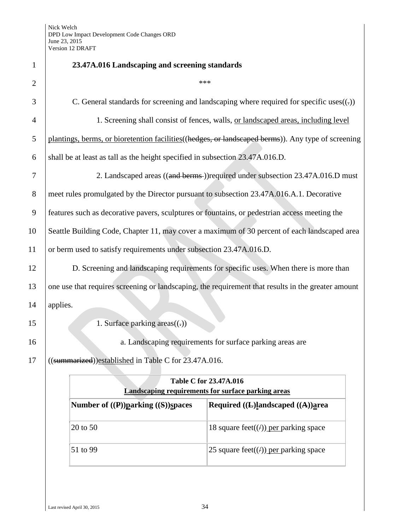| $\mathbf{1}$   | 23.47A.016 Landscaping and screening standards                                                      |
|----------------|-----------------------------------------------------------------------------------------------------|
| $\overline{2}$ | ***                                                                                                 |
| 3              | C. General standards for screening and landscaping where required for specific uses $((.)$          |
| $\overline{4}$ | 1. Screening shall consist of fences, walls, or landscaped areas, including level                   |
| 5              | plantings, berms, or bioretention facilities ((hedges, or landscaped berms)). Any type of screening |
| 6              | shall be at least as tall as the height specified in subsection 23.47A.016.D.                       |
| 7              | 2. Landscaped areas ((and berms))required under subsection 23.47A.016.D must                        |
| 8              | meet rules promulgated by the Director pursuant to subsection 23.47A.016.A.1. Decorative            |
| 9              | features such as decorative pavers, sculptures or fountains, or pedestrian access meeting the       |
| 10             | Seattle Building Code, Chapter 11, may cover a maximum of 30 percent of each landscaped area        |
| 11             | or berm used to satisfy requirements under subsection 23.47A.016.D.                                 |
| 12             | D. Screening and landscaping requirements for specific uses. When there is more than                |
| 13             | one use that requires screening or landscaping, the requirement that results in the greater amount  |
| 14             | applies.                                                                                            |
| 15             | 1. Surface parking $area((.)$                                                                       |
| 16             | a. Landscaping requirements for surface parking areas are                                           |
| 17             | ((summarized))established in Table C for 23.47A.016.                                                |
|                | Table C for 23.47A.016                                                                              |
|                | <b>Landscaping requirements for surface parking areas</b>                                           |
|                | Number of ((P))parking ((S))spaces<br>Required ((L)landscaped ((A))area                             |
|                | 20 to 50<br>18 square feet( $(f)$ ) per parking space                                               |
|                | 51 to 99<br>25 square feet( $(f)$ ) per parking space                                               |
|                |                                                                                                     |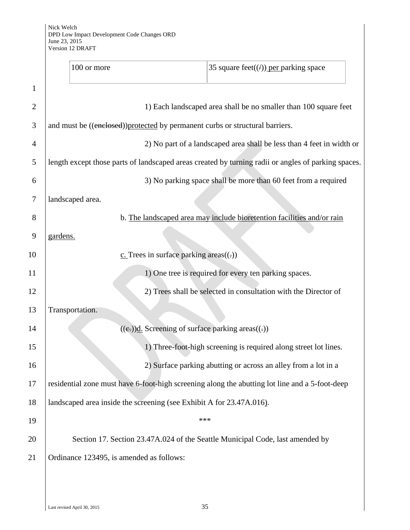|                | 100 or more<br>35 square feet( $(f)$ ) per parking space                                            |
|----------------|-----------------------------------------------------------------------------------------------------|
| 1              |                                                                                                     |
| $\overline{2}$ | 1) Each landscaped area shall be no smaller than 100 square feet                                    |
| 3              | and must be ((enclosed)) protected by permanent curbs or structural barriers.                       |
| 4              | 2) No part of a landscaped area shall be less than 4 feet in width or                               |
| 5              | length except those parts of landscaped areas created by turning radii or angles of parking spaces. |
| 6              | 3) No parking space shall be more than 60 feet from a required                                      |
| 7              | landscaped area.                                                                                    |
| 8              | b. The landscaped area may include bioretention facilities and/or rain                              |
| 9              | gardens.                                                                                            |
| 10             | $c$ . Trees in surface parking areas $((.)$                                                         |
| 11             | 1) One tree is required for every ten parking spaces.                                               |
| 12             | 2) Trees shall be selected in consultation with the Director of                                     |
| 13             | Transportation.                                                                                     |
| 14             | $((e))$ d. Screening of surface parking areas $((.)$                                                |
| 15             | 1) Three-foot-high screening is required along street lot lines.                                    |
| 16             | 2) Surface parking abutting or across an alley from a lot in a                                      |
| 17             | residential zone must have 6-foot-high screening along the abutting lot line and a 5-foot-deep      |
| 18             | landscaped area inside the screening (see Exhibit A for 23.47A.016).                                |
| 19             | ***                                                                                                 |
| 20             | Section 17. Section 23.47A.024 of the Seattle Municipal Code, last amended by                       |
| 21             | Ordinance 123495, is amended as follows:                                                            |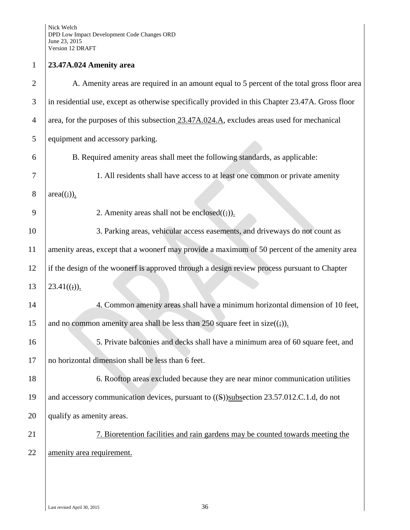## 1 **23.47A.024 Amenity area** 2 A. Amenity areas are required in an amount equal to 5 percent of the total gross floor area 3 in residential use, except as otherwise specifically provided in this Chapter 23.47A. Gross floor 4 area, for the purposes of this subsection  $23.47A.024.A$ , excludes areas used for mechanical 5 equipment and accessory parking. 6 B. Required amenity areas shall meet the following standards, as applicable: 7 1. All residents shall have access to at least one common or private amenity 8  $|area((;))$ . 9 2. Amenity areas shall not be enclosed $((\frac{1}{2}))$ . 10 3. Parking areas, vehicular access easements, and driveways do not count as 11 amenity areas, except that a woonerf may provide a maximum of 50 percent of the amenity area 12 if the design of the woonerf is approved through a design review process pursuant to Chapter 13  $|23.41((1))$ . 14 4. Common amenity areas shall have a minimum horizontal dimension of 10 feet, 15 and no common amenity area shall be less than 250 square feet in size( $(i)$ ). 16 5. Private balconies and decks shall have a minimum area of 60 square feet, and 17 no horizontal dimension shall be less than 6 feet. 18 6. Rooftop areas excluded because they are near minor communication utilities 19 and accessory communication devices, pursuant to  $((S))$ subsection 23.57.012.C.1.d, do not

20 qualify as amenity areas.

21 7. Bioretention facilities and rain gardens may be counted towards meeting the 22 amenity area requirement.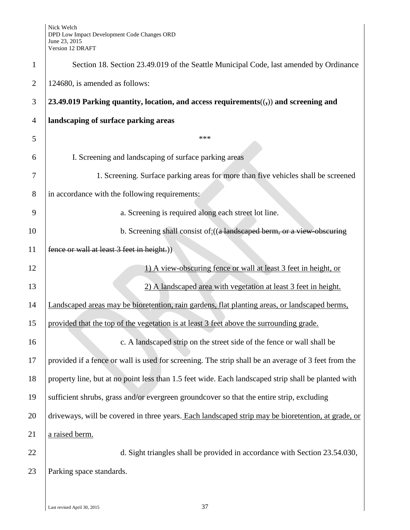| $\mathbf{1}$   | Section 18. Section 23.49.019 of the Seattle Municipal Code, last amended by Ordinance                        |
|----------------|---------------------------------------------------------------------------------------------------------------|
|                |                                                                                                               |
| $\overline{2}$ | 124680, is amended as follows:                                                                                |
| 3              | 23.49.019 Parking quantity, location, and access requirements( $\left(\frac{1}{2}\right)$ ) and screening and |
| 4              | landscaping of surface parking areas                                                                          |
| 5              | ***                                                                                                           |
| 6              | I. Screening and landscaping of surface parking areas                                                         |
| 7              | 1. Screening. Surface parking areas for more than five vehicles shall be screened                             |
| 8              | in accordance with the following requirements:                                                                |
| 9              | a. Screening is required along each street lot line.                                                          |
| 10             | b. Screening shall consist of: ((a landscaped berm, or a view obscuring                                       |
| 11             | fence or wall at least 3 feet in height.)                                                                     |
| 12             | 1) A view-obscuring fence or wall at least 3 feet in height, or                                               |
| 13             | 2) A landscaped area with vegetation at least 3 feet in height.                                               |
| 14             | Landscaped areas may be bioretention, rain gardens, flat planting areas, or landscaped berms,                 |
| 15             | provided that the top of the vegetation is at least 3 feet above the surrounding grade.                       |
| 16             | c. A landscaped strip on the street side of the fence or wall shall be                                        |
| 17             | provided if a fence or wall is used for screening. The strip shall be an average of 3 feet from the           |
| 18             | property line, but at no point less than 1.5 feet wide. Each landscaped strip shall be planted with           |
| 19             | sufficient shrubs, grass and/or evergreen groundcover so that the entire strip, excluding                     |
| 20             | driveways, will be covered in three years. Each landscaped strip may be bioretention, at grade, or            |
| 21             | a raised berm.                                                                                                |
| 22             | d. Sight triangles shall be provided in accordance with Section 23.54.030,                                    |
| 23             | Parking space standards.                                                                                      |
|                |                                                                                                               |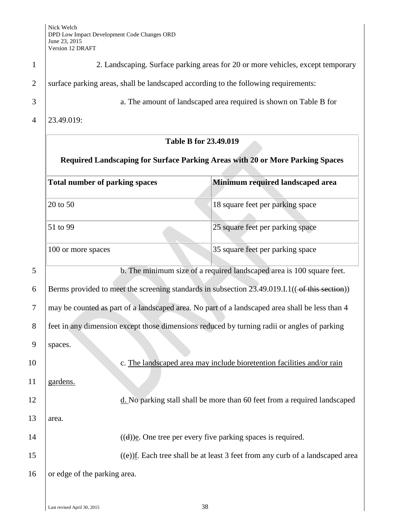| $\mathbf{1}$   |                                                                                                | 2. Landscaping. Surface parking areas for 20 or more vehicles, except temporary          |
|----------------|------------------------------------------------------------------------------------------------|------------------------------------------------------------------------------------------|
| $\overline{2}$ | surface parking areas, shall be landscaped according to the following requirements:            |                                                                                          |
| 3              |                                                                                                | a. The amount of landscaped area required is shown on Table B for                        |
| $\overline{4}$ | 23.49.019:                                                                                     |                                                                                          |
|                | <b>Table B for 23.49.019</b>                                                                   |                                                                                          |
|                | Required Landscaping for Surface Parking Areas with 20 or More Parking Spaces                  |                                                                                          |
|                | <b>Total number of parking spaces</b>                                                          | Minimum required landscaped area                                                         |
|                | 20 to 50                                                                                       | 18 square feet per parking space                                                         |
|                | 51 to 99                                                                                       | 25 square feet per parking space                                                         |
|                | 100 or more spaces                                                                             | 35 square feet per parking space                                                         |
| 5              |                                                                                                | b. The minimum size of a required landscaped area is 100 square feet.                    |
| 6              | Berms provided to meet the screening standards in subsection 23.49.019.I.1((-of this section)) |                                                                                          |
| 7              | may be counted as part of a landscaped area. No part of a landscaped area shall be less than 4 |                                                                                          |
| 8              | feet in any dimension except those dimensions reduced by turning radii or angles of parking    |                                                                                          |
| 9              | spaces.                                                                                        |                                                                                          |
| 10             |                                                                                                | c. The landscaped area may include bioretention facilities and/or rain                   |
| 11             | gardens.                                                                                       |                                                                                          |
| 12             |                                                                                                | d. No parking stall shall be more than 60 feet from a required landscaped                |
| 13             | area.                                                                                          |                                                                                          |
| 14             |                                                                                                | $((d))$ <u>e</u> . One tree per every five parking spaces is required.                   |
| 15             |                                                                                                | $((e))$ <u>f</u> . Each tree shall be at least 3 feet from any curb of a landscaped area |
| 16             | or edge of the parking area.                                                                   |                                                                                          |
|                |                                                                                                |                                                                                          |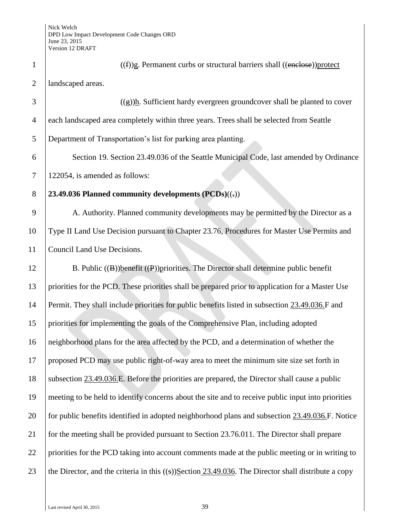| $\mathbf{1}$   | $((f))$ g. Permanent curbs or structural barriers shall $((\text{enclose}))$ protect                   |
|----------------|--------------------------------------------------------------------------------------------------------|
| $\overline{2}$ | landscaped areas.                                                                                      |
| 3              | $((g))$ h. Sufficient hardy evergreen groundcover shall be planted to cover                            |
| 4              | each landscaped area completely within three years. Trees shall be selected from Seattle               |
| 5              | Department of Transportation's list for parking area planting.                                         |
| 6              | Section 19. Section 23.49.036 of the Seattle Municipal Code, last amended by Ordinance                 |
| $\tau$         | 122054, is amended as follows:                                                                         |
| 8              | 23.49.036 Planned community developments $(PCDs)((=))$                                                 |
| 9              | A. Authority. Planned community developments may be permitted by the Director as a                     |
| 10             | Type II Land Use Decision pursuant to Chapter 23.76, Procedures for Master Use Permits and             |
| 11             | Council Land Use Decisions.                                                                            |
| 12             | B. Public $((B))$ benefit $((P))$ priorities. The Director shall determine public benefit              |
| 13             | priorities for the PCD. These priorities shall be prepared prior to application for a Master Use       |
| 14             | Permit. They shall include priorities for public benefits listed in subsection 23.49.036.F and         |
| 15             | priorities for implementing the goals of the Comprehensive Plan, including adopted                     |
| 16             | neighborhood plans for the area affected by the PCD, and a determination of whether the                |
| 17             | proposed PCD may use public right-of-way area to meet the minimum site size set forth in               |
| 18             | subsection 23.49.036.E. Before the priorities are prepared, the Director shall cause a public          |
| 19             | meeting to be held to identify concerns about the site and to receive public input into priorities     |
| 20             | for public benefits identified in adopted neighborhood plans and subsection 23.49.036.F. Notice        |
| 21             | for the meeting shall be provided pursuant to Section 23.76.011. The Director shall prepare            |
| 22             | priorities for the PCD taking into account comments made at the public meeting or in writing to        |
| 23             | the Director, and the criteria in this $((s))$ Section 23.49.036. The Director shall distribute a copy |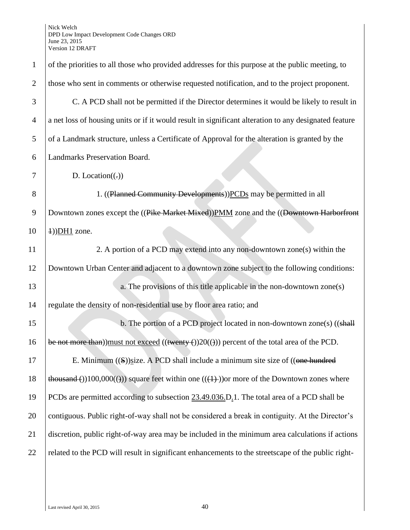| $\mathbf{1}$   | of the priorities to all those who provided addresses for this purpose at the public meeting, to           |
|----------------|------------------------------------------------------------------------------------------------------------|
| $\overline{2}$ | those who sent in comments or otherwise requested notification, and to the project proponent.              |
| 3              | C. A PCD shall not be permitted if the Director determines it would be likely to result in                 |
| $\overline{4}$ | a net loss of housing units or if it would result in significant alteration to any designated feature      |
| 5              | of a Landmark structure, unless a Certificate of Approval for the alteration is granted by the             |
| 6              | Landmarks Preservation Board.                                                                              |
| 7              | D. Location( $(.)$ )                                                                                       |
| 8              | 1. ((Planned Community Developments)) PCDs may be permitted in all                                         |
| $\overline{9}$ | Downtown zones except the ((Pike Market Mixed)) PMM zone and the ((Downtown Harborfront                    |
| 10             | $\pm$ ))DH1 zone.                                                                                          |
| 11             | 2. A portion of a PCD may extend into any non-downtown zone(s) within the                                  |
| 12             | Downtown Urban Center and adjacent to a downtown zone subject to the following conditions:                 |
| 13             | a. The provisions of this title applicable in the non-downtown zone(s)                                     |
| 14             | regulate the density of non-residential use by floor area ratio; and                                       |
| 15             | b. The portion of a PCD project located in non-downtown zone(s) ((shall                                    |
| 16             | be not more than)) must not exceed $((\text{twenty-}))20(())$ percent of the total area of the PCD.        |
| $17\,$         | E. Minimum $((S))$ size. A PCD shall include a minimum site size of $((one hundred$                        |
| 18             | $\frac{\text{thousand}(1)}{100,000(1)}$ square feet within one $((+))$ or more of the Downtown zones where |
| 19             | PCDs are permitted according to subsection 23.49.036.D.1. The total area of a PCD shall be                 |
| 20             | contiguous. Public right-of-way shall not be considered a break in contiguity. At the Director's           |
| 21             | discretion, public right-of-way area may be included in the minimum area calculations if actions           |
| 22             | related to the PCD will result in significant enhancements to the streetscape of the public right-         |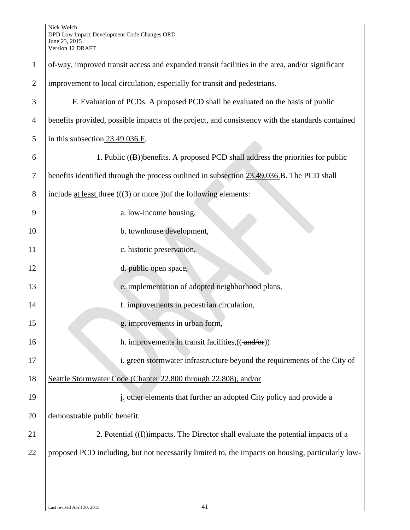| $\mathbf{1}$   | of-way, improved transit access and expanded transit facilities in the area, and/or significant   |
|----------------|---------------------------------------------------------------------------------------------------|
| $\overline{2}$ | improvement to local circulation, especially for transit and pedestrians.                         |
| 3              | F. Evaluation of PCDs. A proposed PCD shall be evaluated on the basis of public                   |
| $\overline{4}$ | benefits provided, possible impacts of the project, and consistency with the standards contained  |
| 5              | in this subsection 23.49.036.F.                                                                   |
| 6              | 1. Public ((B))benefits. A proposed PCD shall address the priorities for public                   |
| $\tau$         | benefits identified through the process outlined in subsection 23.49.036.B. The PCD shall         |
| 8              | include <u>at least</u> three $(((3) \text{ or more}))$ of the following elements:                |
| 9              | a. low-income housing,                                                                            |
| 10             | b. townhouse development,                                                                         |
| 11             | c. historic preservation,                                                                         |
| 12             | d. public open space,                                                                             |
| 13             | e. implementation of adopted neighborhood plans,                                                  |
| 14             | f. improvements in pedestrian circulation,                                                        |
| 15             | g. improvements in urban form,                                                                    |
| 16             | h. improvements in transit facilities, ((-and/or))                                                |
| 17             | i. green stormwater infrastructure beyond the requirements of the City of                         |
| 18             | Seattle Stormwater Code (Chapter 22.800 through 22.808), and/or                                   |
| 19             | <i>i</i> other elements that further an adopted City policy and provide a                         |
| 20             | demonstrable public benefit.                                                                      |
| 21             | 2. Potential $(4)$ impacts. The Director shall evaluate the potential impacts of a                |
| 22             | proposed PCD including, but not necessarily limited to, the impacts on housing, particularly low- |
|                |                                                                                                   |
|                |                                                                                                   |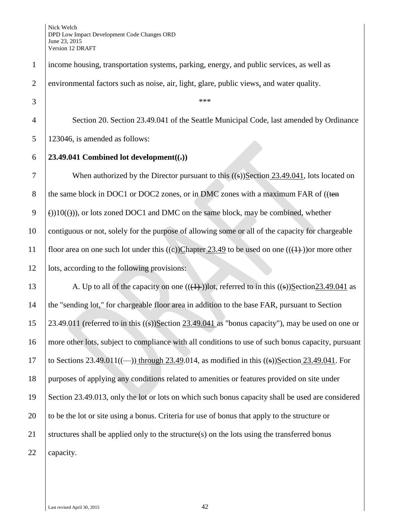| $\mathbf{1}$   | income housing, transportation systems, parking, energy, and public services, as well as             |
|----------------|------------------------------------------------------------------------------------------------------|
| $\overline{2}$ | environmental factors such as noise, air, light, glare, public views, and water quality.             |
| 3              | ***                                                                                                  |
| $\overline{4}$ | Section 20. Section 23.49.041 of the Seattle Municipal Code, last amended by Ordinance               |
| 5              | 123046, is amended as follows:                                                                       |
| 6              | 23.49.041 Combined lot development $((.)$                                                            |
| 7              | When authorized by the Director pursuant to this $((s))$ Section 23.49.041, lots located on          |
| $8\,$          | the same block in DOC1 or DOC2 zones, or in DMC zones with a maximum FAR of ((ten                    |
| 9              | $(3)(10(4))$ , or lots zoned DOC1 and DMC on the same block, may be combined, whether                |
| 10             | contiguous or not, solely for the purpose of allowing some or all of the capacity for chargeable     |
| 11             | floor area on one such lot under this ((c))Chapter 23.49 to be used on one (( $(1)$ )) or more other |
| 12             | lots, according to the following provisions:                                                         |
| 13             | A. Up to all of the capacity on one $((+))$ lot, referred to in this $((s))$ Section23.49.041 as     |
| 14             | the "sending lot," for chargeable floor area in addition to the base FAR, pursuant to Section        |
| 15             | 23.49.011 (referred to in this $((s))$ Section 23.49.041 as "bonus capacity"), may be used on one or |
| 16             | more other lots, subject to compliance with all conditions to use of such bonus capacity, pursuant   |
| 17             | to Sections 23.49.011((-)) through 23.49.014, as modified in this $((s))$ Section 23.49.041. For     |
| 18             | purposes of applying any conditions related to amenities or features provided on site under          |
| 19             | Section 23.49.013, only the lot or lots on which such bonus capacity shall be used are considered    |
| 20             | to be the lot or site using a bonus. Criteria for use of bonus that apply to the structure or        |
| 21             | structures shall be applied only to the structure(s) on the lots using the transferred bonus         |
| 22             | capacity.                                                                                            |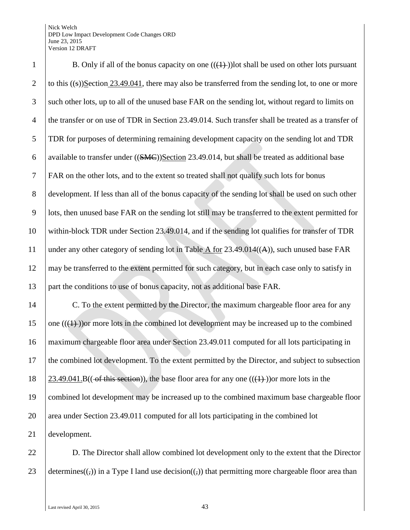## Nick Welch DPD Low Impact Development Code Changes ORD June 23, 2015 Version 12 DRAFT

1 B. Only if all of the bonus capacity on one  $((\{+) \})$  lot shall be used on other lots pursuant 2 to this  $((s))$ Section 23.49.041, there may also be transferred from the sending lot, to one or more such other lots, up to all of the unused base FAR on the sending lot, without regard to limits on the transfer or on use of TDR in Section 23.49.014. Such transfer shall be treated as a transfer of TDR for purposes of determining remaining development capacity on the sending lot and TDR 6 available to transfer under  $((SMC))$ Section 23.49.014, but shall be treated as additional base FAR on the other lots, and to the extent so treated shall not qualify such lots for bonus development. If less than all of the bonus capacity of the sending lot shall be used on such other lots, then unused base FAR on the sending lot still may be transferred to the extent permitted for within-block TDR under Section 23.49.014, and if the sending lot qualifies for transfer of TDR 11 | under any other category of sending lot in Table  $\overline{A}$  for 23.49.014( $(A)$ ), such unused base FAR 12 may be transferred to the extent permitted for such category, but in each case only to satisfy in part the conditions to use of bonus capacity, not as additional base FAR.

14 C. To the extent permitted by the Director, the maximum chargeable floor area for any 15 one  $((1))$  or more lots in the combined lot development may be increased up to the combined maximum chargeable floor area under Section 23.49.011 computed for all lots participating in the combined lot development. To the extent permitted by the Director, and subject to subsection  $\left(23.49.041.B((-of this section)),$  the base floor area for any one  $((+))$  or more lots in the combined lot development may be increased up to the combined maximum base chargeable floor 20 area under Section 23.49.011 computed for all lots participating in the combined lot development.

22 D. The Director shall allow combined lot development only to the extent that the Director 23 determines( $(\cdot, \cdot)$ ) in a Type I land use decision( $(\cdot, \cdot)$ ) that permitting more chargeable floor area than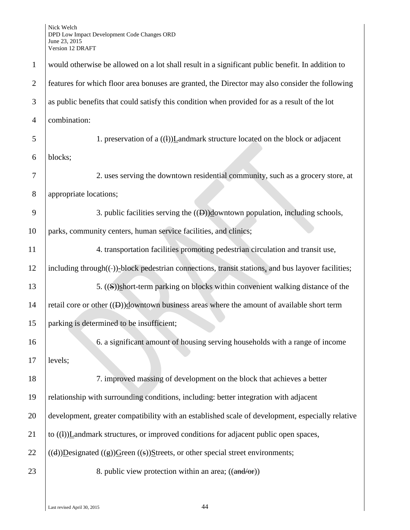| $\mathbf{1}$   | would otherwise be allowed on a lot shall result in a significant public benefit. In addition to   |
|----------------|----------------------------------------------------------------------------------------------------|
| $\overline{2}$ | features for which floor area bonuses are granted, the Director may also consider the following    |
| 3              | as public benefits that could satisfy this condition when provided for as a result of the lot      |
| $\overline{4}$ | combination:                                                                                       |
| 5              | 1. preservation of a ((1))Landmark structure located on the block or adjacent                      |
| 6              | blocks;                                                                                            |
| $\overline{7}$ | 2. uses serving the downtown residential community, such as a grocery store, at                    |
| 8              | appropriate locations;                                                                             |
| 9              | 3. public facilities serving the $((\theta))$ downtown population, including schools,              |
| 10             | parks, community centers, human service facilities, and clinics;                                   |
| 11             | 4. transportation facilities promoting pedestrian circulation and transit use,                     |
| 12             | including through((-))-block pedestrian connections, transit stations, and bus layover facilities; |
| 13             | 5. ((S))short-term parking on blocks within convenient walking distance of the                     |
| 14             | retail core or other $((\theta))$ downtown business areas where the amount of available short term |
| 15             | parking is determined to be insufficient;                                                          |
| 16             | 6. a significant amount of housing serving households with a range of income                       |
| 17             | levels;                                                                                            |
| 18             | 7. improved massing of development on the block that achieves a better                             |
| 19             | relationship with surrounding conditions, including: better integration with adjacent              |
| 20             | development, greater compatibility with an established scale of development, especially relative   |
| 21             | to $((1))$ <i>Landmark structures, or improved conditions for adjacent public open spaces,</i>     |
| 22             | ((d))Designated ((g))Green ((s))Streets, or other special street environments;                     |
| 23             | 8. public view protection within an area; ((and/or))                                               |
|                |                                                                                                    |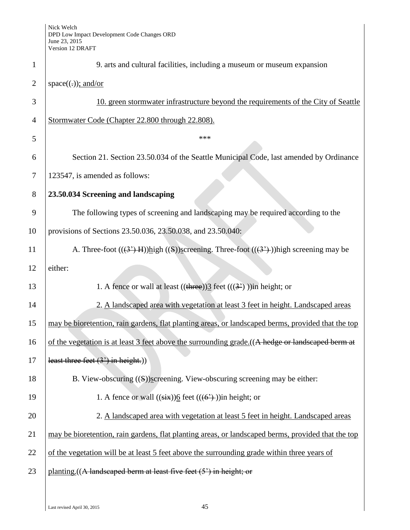| $\mathbf{1}$   | 9. arts and cultural facilities, including a museum or museum expansion                            |
|----------------|----------------------------------------------------------------------------------------------------|
| $\overline{2}$ | $space((.))$ ; and/or                                                                              |
| 3              | 10. green stormwater infrastructure beyond the requirements of the City of Seattle                 |
| $\overline{4}$ | Stormwater Code (Chapter 22.800 through 22.808).                                                   |
| 5              | ***                                                                                                |
| 6              | Section 21. Section 23.50.034 of the Seattle Municipal Code, last amended by Ordinance             |
| $\overline{7}$ | 123547, is amended as follows:                                                                     |
| 8              | 23.50.034 Screening and landscaping                                                                |
| 9              | The following types of screening and landscaping may be required according to the                  |
| 10             | provisions of Sections 23.50.036, 23.50.038, and 23.50.040:                                        |
| 11             | A. Three-foot $((3')$ H)) $high ((S))$ screening. Three-foot $((3')$ ))high screening may be       |
| 12             | either:                                                                                            |
| 13             | 1. A fence or wall at least $((\text{three}))\underline{3}$ feet $(((3))$ ) in height; or          |
| 14             | 2. A landscaped area with vegetation at least 3 feet in height. Landscaped areas                   |
| 15             | may be bioretention, rain gardens, flat planting areas, or landscaped berms, provided that the top |
| 16             | of the vegetation is at least 3 feet above the surrounding grade. ((A hedge or landscaped berm at  |
| 17             | least three feet $(3')$ in height.)                                                                |
| 18             | B. View-obscuring $((S))$ screening. View-obscuring screening may be either:                       |
| 19             | 1. A fence or wall $((\overrightarrow{six}))$ feet $((\overrightarrow{6})$ ) in height; or         |
| 20             | 2. A landscaped area with vegetation at least 5 feet in height. Landscaped areas                   |
| 21             | may be bioretention, rain gardens, flat planting areas, or landscaped berms, provided that the top |
| 22             | of the vegetation will be at least 5 feet above the surrounding grade within three years of        |
| 23             | planting. ((A landscaped berm at least five feet (5') in height; or                                |
|                |                                                                                                    |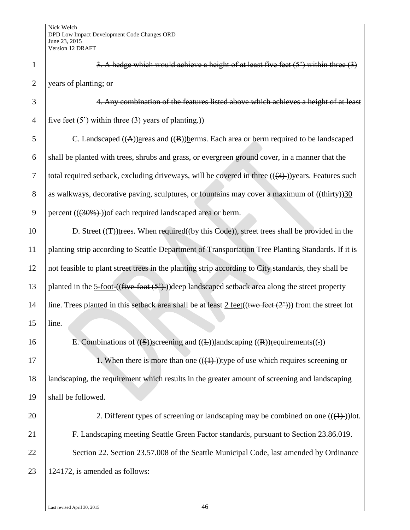| $\mathbf{1}$   | 3. A hedge which would achieve a height of at least five feet $(5')$ within three $(3)$                                           |
|----------------|-----------------------------------------------------------------------------------------------------------------------------------|
| $\overline{2}$ | years of planting; or                                                                                                             |
| 3              | 4. Any combination of the features listed above which achieves a height of at least                                               |
| $\overline{4}$ | five feet $(5')$ within three $(3)$ years of planting.)                                                                           |
| 5              | C. Landscaped $((A))$ areas and $((B))$ berms. Each area or berm required to be landscaped                                        |
| 6              | shall be planted with trees, shrubs and grass, or evergreen ground cover, in a manner that the                                    |
| $\overline{7}$ | total required setback, excluding driveways, will be covered in three $((3+))$ years. Features such                               |
| 8              | as walkways, decorative paving, sculptures, or fountains may cover a maximum of $((\text{thirty}))30$                             |
| 9              | percent $((30\%)$ ) of each required landscaped area or berm.                                                                     |
| 10             | D. Street $((\texttt{T}))$ trees. When required $((by this Code))$ , street trees shall be provided in the                        |
| 11             | planting strip according to Seattle Department of Transportation Tree Planting Standards. If it is                                |
| 12             | not feasible to plant street trees in the planting strip according to City standards, they shall be                               |
| 13             | planted in the $5\text{-foot-}((\text{five-foot} (5')))(\text{deep landscape} and \text{setback area along the street property})$ |
| 14             | line. Trees planted in this setback area shall be at least $2 \text{ feet}((\text{two feet } (2')))$ from the street lot          |
| 15             | line.                                                                                                                             |
| 16             | E. Combinations of $((S))$ screening and $((E))$ landscaping $((R))$ requirements $((.)$                                          |
| 17             | 1. When there is more than one $((+))$ type of use which requires screening or                                                    |
| 18             | landscaping, the requirement which results in the greater amount of screening and landscaping                                     |
| 19             | shall be followed.                                                                                                                |
| 20             | 2. Different types of screening or landscaping may be combined on one $((1+))$ lot.                                               |
| 21             | F. Landscaping meeting Seattle Green Factor standards, pursuant to Section 23.86.019.                                             |
| 22             | Section 22. Section 23.57.008 of the Seattle Municipal Code, last amended by Ordinance                                            |
| 23             | 124172, is amended as follows:                                                                                                    |
|                |                                                                                                                                   |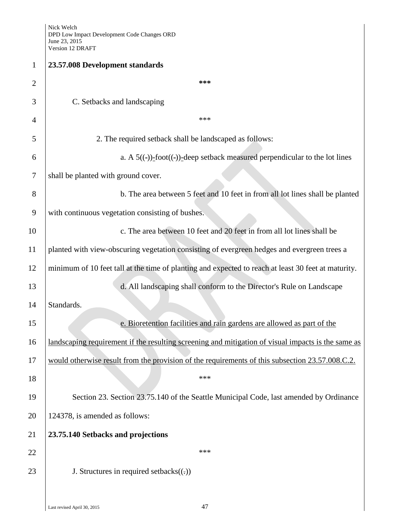| $\mathbf{1}$   | 23.57.008 Development standards                                                                     |
|----------------|-----------------------------------------------------------------------------------------------------|
| $\overline{2}$ | ***                                                                                                 |
| 3              | C. Setbacks and landscaping                                                                         |
| 4              | ***                                                                                                 |
| 5              | 2. The required setback shall be landscaped as follows:                                             |
| 6              | a. A $5((-))$ -foot $((-))$ -deep setback measured perpendicular to the lot lines                   |
| 7              | shall be planted with ground cover.                                                                 |
| 8              | b. The area between 5 feet and 10 feet in from all lot lines shall be planted                       |
| 9              | with continuous vegetation consisting of bushes.                                                    |
|                |                                                                                                     |
| 10             | c. The area between 10 feet and 20 feet in from all lot lines shall be                              |
| 11             | planted with view-obscuring vegetation consisting of evergreen hedges and evergreen trees a         |
| 12             | minimum of 10 feet tall at the time of planting and expected to reach at least 30 feet at maturity. |
| 13             | d. All landscaping shall conform to the Director's Rule on Landscape                                |
| 14             | Standards.                                                                                          |
| 15             | e. Bioretention facilities and rain gardens are allowed as part of the                              |
| 16             | landscaping requirement if the resulting screening and mitigation of visual impacts is the same as  |
| 17             | would otherwise result from the provision of the requirements of this subsection 23.57.008.C.2.     |
| 18             | ***                                                                                                 |
|                |                                                                                                     |
| 19             | Section 23. Section 23.75.140 of the Seattle Municipal Code, last amended by Ordinance              |
| 20             | 124378, is amended as follows:                                                                      |
| 21             | 23.75.140 Setbacks and projections                                                                  |
| 22             | ***                                                                                                 |
| 23             | J. Structures in required setbacks $((.)$                                                           |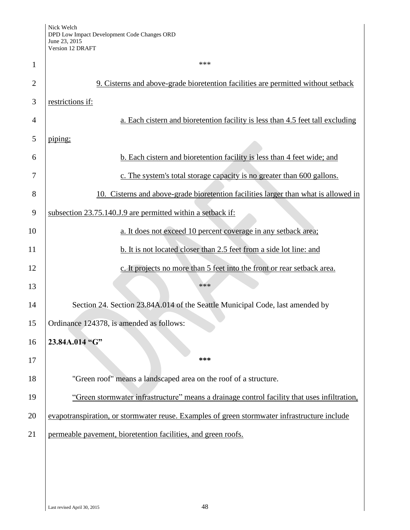| $\mathbf{1}$   | ***                                                                                          |
|----------------|----------------------------------------------------------------------------------------------|
| $\overline{2}$ | 9. Cisterns and above-grade bioretention facilities are permitted without setback            |
| 3              | restrictions if:                                                                             |
| 4              | a. Each cistern and bioretention facility is less than 4.5 feet tall excluding               |
| 5              | piping;                                                                                      |
| 6              | b. Each cistern and bioretention facility is less than 4 feet wide; and                      |
| 7              | c. The system's total storage capacity is no greater than 600 gallons.                       |
| 8              | 10. Cisterns and above-grade bioretention facilities larger than what is allowed in          |
| 9              | subsection 23.75.140.J.9 are permitted within a setback if:                                  |
| 10             | a. It does not exceed 10 percent coverage in any setback area;                               |
| 11             | b. It is not located closer than 2.5 feet from a side lot line: and                          |
| 12             | c. It projects no more than 5 feet into the front or rear setback area.                      |
| 13             | ***                                                                                          |
| 14             | Section 24. Section 23.84A.014 of the Seattle Municipal Code, last amended by                |
| 15             | Ordinance 124378, is amended as follows:                                                     |
| 16             | 23.84A.014 "G"                                                                               |
| 17             | ***                                                                                          |
| 18             | "Green roof" means a landscaped area on the roof of a structure.                             |
| 19             | "Green stormwater infrastructure" means a drainage control facility that uses infiltration,  |
| 20             | evapotranspiration, or stormwater reuse. Examples of green stormwater infrastructure include |
| 21             | permeable pavement, bioretention facilities, and green roofs.                                |
|                |                                                                                              |
|                |                                                                                              |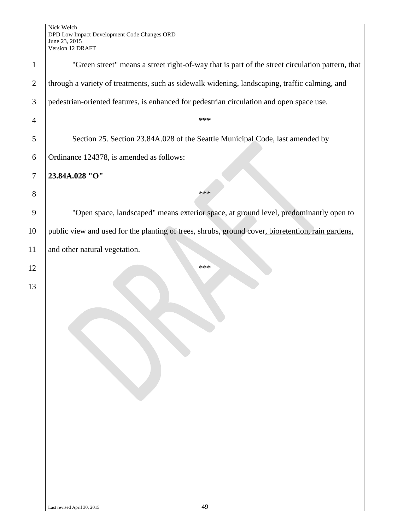| $\mathbf{1}$   | "Green street" means a street right-of-way that is part of the street circulation pattern, that   |
|----------------|---------------------------------------------------------------------------------------------------|
| $\overline{2}$ | through a variety of treatments, such as sidewalk widening, landscaping, traffic calming, and     |
| 3              | pedestrian-oriented features, is enhanced for pedestrian circulation and open space use.          |
| $\overline{4}$ | ***                                                                                               |
| 5              | Section 25. Section 23.84A.028 of the Seattle Municipal Code, last amended by                     |
| 6              | Ordinance 124378, is amended as follows:                                                          |
| $\tau$         | 23.84A.028 "O"                                                                                    |
| 8              | ***                                                                                               |
| 9              | "Open space, landscaped" means exterior space, at ground level, predominantly open to             |
| 10             | public view and used for the planting of trees, shrubs, ground cover, bioretention, rain gardens, |
| 11             | and other natural vegetation.                                                                     |
| 12             | ***                                                                                               |
| 13             |                                                                                                   |
|                |                                                                                                   |
|                |                                                                                                   |
|                |                                                                                                   |
|                |                                                                                                   |
|                |                                                                                                   |
|                |                                                                                                   |
|                |                                                                                                   |
|                |                                                                                                   |
|                |                                                                                                   |
|                |                                                                                                   |
|                |                                                                                                   |
|                |                                                                                                   |